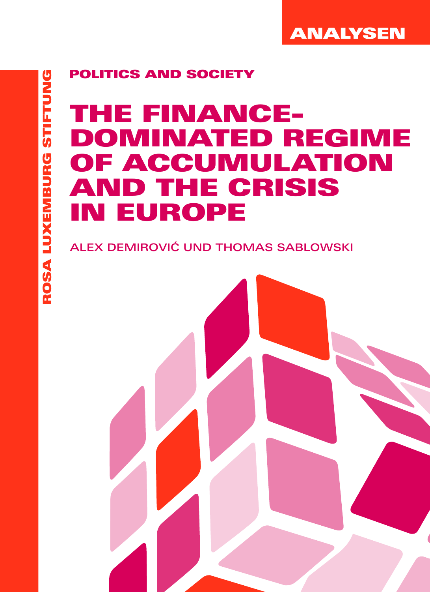

# Politics and Society

# The Financedominated Regime of Accumulation and the Crisis in Europe

Alex DemiroviĆ und Thomas Sablowski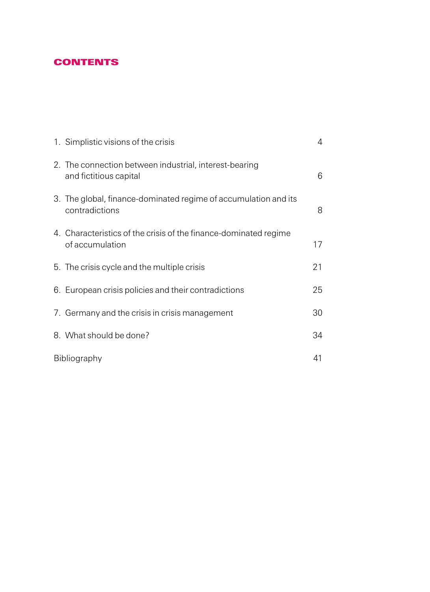# **CONTENTS**

|                    | 1. Simplistic visions of the crisis                                                 | 4  |  |  |  |
|--------------------|-------------------------------------------------------------------------------------|----|--|--|--|
|                    | 2. The connection between industrial, interest-bearing<br>and fictitious capital    | 6  |  |  |  |
|                    | 3. The global, finance-dominated regime of accumulation and its<br>contradictions   | 8  |  |  |  |
|                    | 4. Characteristics of the crisis of the finance-dominated regime<br>of accumulation | 17 |  |  |  |
|                    | 5. The crisis cycle and the multiple crisis                                         | 21 |  |  |  |
|                    | 6. European crisis policies and their contradictions                                | 25 |  |  |  |
|                    | 7. Germany and the crisis in crisis management                                      | 30 |  |  |  |
|                    | 8. What should be done?                                                             | 34 |  |  |  |
| 41<br>Bibliography |                                                                                     |    |  |  |  |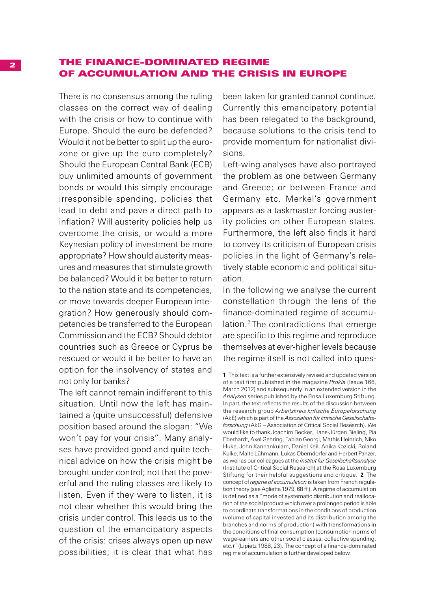# **2** THE FINANCE-DOMINATED REGIME OF ACCUMULATION AND THE CRISIS IN EUROPE

There is no consensus among the ruling classes on the correct way of dealing with the crisis or how to continue with Europe. Should the euro be defended? Would it not be better to split up the eurozone or give up the euro completely? Should the European Central Bank (ECB) buy unlimited amounts of government bonds or would this simply encourage irresponsible spending, policies that lead to debt and pave a direct path to inflation? Will austerity policies help us overcome the crisis, or would a more Keynesian policy of investment be more appropriate? How should austerity measures and measures that stimulate growth be balanced? Would it be better to return to the nation state and its competencies, or move towards deeper European integration? How generously should competencies be transferred to the European Commission and the ECB? Should debtor countries such as Greece or Cyprus be rescued or would it be better to have an option for the insolvency of states and not only for banks?

The left cannot remain indifferent to this situation. Until now the left has maintained a (quite unsuccessful) defensive position based around the slogan: "We won't pay for your crisis". Many analyses have provided good and quite technical advice on how the crisis might be brought under control; not that the powerful and the ruling classes are likely to listen. Even if they were to listen, it is not clear whether this would bring the crisis under control. This leads us to the question of the emancipatory aspects of the crisis: crises always open up new possibilities; it is clear that what has been taken for granted cannot continue. Currently this emancipatory potential has been relegated to the background, because solutions to the crisis tend to provide momentum for nationalist divisions.

Left-wing analyses have also portrayed the problem as one between Germany and Greece; or between France and Germany etc. Merkel's government appears as a taskmaster forcing austerity policies on other European states. Furthermore, the left also finds it hard to convey its criticism of European crisis policies in the light of Germany's relatively stable economic and political situation.

In the following we analyse the current constellation through the lens of the finance-dominated regime of accumulation.2 The contradictions that emerge are specific to this regime and reproduce themselves at ever-higher levels because the regime itself is not called into ques-

**<sup>1</sup>** This text is a further extensively revised and updated version of a text first published in the magazine *Prokla* (Issue 166, March 2012) and subsequently in an extended version in the *Analysen* series published by the Rosa Luxemburg Stiftung. In part, the text reflects the results of the discussion between the research group *Arbeitskreis kritische Europaforschung* (AkE) which is part of the *Assoziation für kritische Gesellschaftsforschung* (AkG – Association of Critical Social Research). We would like to thank Joachim Becker, Hans-Jürgen Bieling, Pia Eberhardt, Axel Gehring, Fabian Georgi, Mathis Heinrich, Niko Huke, John Kannankulam, Daniel Keil, Anika Kozicki, Roland Kulke, Malte Lühmann, Lukas Oberndorfer and Herbert Panzer, as well as our colleagues at the *Institut für Gesellschaftsanalyse* (Institute of Critical Social Research) at the Rosa Luxemburg Stiftung for their helpful suggestions and critique. **2** The concept of *regime of accumulation* is taken from French regulation theory (see Aglietta 1979, 68 ff.). A regime of accumulation is defined as a "mode of systematic distribution and reallocation of the social product which over a prolonged period is able to coordinate transformations in the conditions of production (volume of capital invested and its distribution among the branches and norms of production) with transformations in the conditions of final consumption (consumption norms of wage-earners and other social classes, collective spending, etc.)" (Lipietz 1988, 23). The concept of a finance-dominated regime of accumulation is further developed below.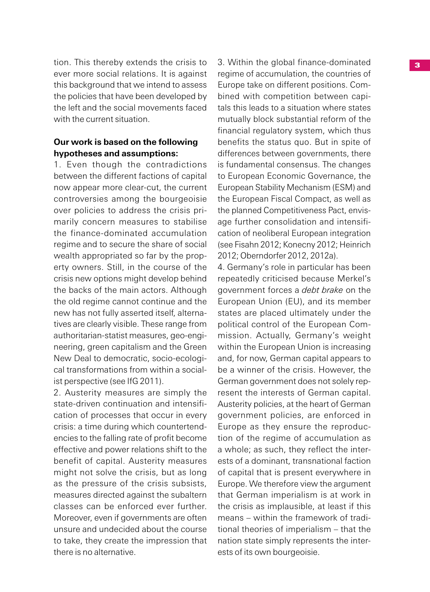tion. This thereby extends the crisis to <sup>3</sup> 3. Within the global finance-dominated ever more social relations. It is against this background that we intend to assess the policies that have been developed by the left and the social movements faced with the current situation.

# **Our work is based on the following hypotheses and assumptions:**

1. Even though the contradictions between the different factions of capital now appear more clear-cut, the current controversies among the bourgeoisie over policies to address the crisis primarily concern measures to stabilise the finance-dominated accumulation regime and to secure the share of social wealth appropriated so far by the property owners. Still, in the course of the crisis new options might develop behind the backs of the main actors. Although the old regime cannot continue and the new has not fully asserted itself, alternatives are clearly visible. These range from authoritarian-statist measures, geo-engineering, green capitalism and the Green New Deal to democratic, socio-ecological transformations from within a socialist perspective (see IfG 2011).

2. Austerity measures are simply the state-driven continuation and intensification of processes that occur in every crisis: a time during which countertendencies to the falling rate of profit become effective and power relations shift to the benefit of capital. Austerity measures might not solve the crisis, but as long as the pressure of the crisis subsists, measures directed against the subaltern classes can be enforced ever further. Moreover, even if governments are often unsure and undecided about the course to take, they create the impression that there is no alternative.

regime of accumulation, the countries of Europe take on different positions. Combined with competition between capitals this leads to a situation where states mutually block substantial reform of the financial regulatory system, which thus benefits the status quo. But in spite of differences between governments, there is fundamental consensus. The changes to European Economic Governance, the European Stability Mechanism (ESM) and the European Fiscal Compact, as well as the planned Competitiveness Pact, envisage further consolidation and intensification of neoliberal European integration (see Fisahn 2012; Konecny 2012; Heinrich 2012; Oberndorfer 2012, 2012a).

4. Germany's role in particular has been repeatedly criticised because Merkel's government forces a *debt brake* on the European Union (EU), and its member states are placed ultimately under the political control of the European Commission. Actually, Germany's weight within the European Union is increasing and, for now, German capital appears to be a winner of the crisis. However, the German government does not solely represent the interests of German capital. Austerity policies, at the heart of German government policies, are enforced in Europe as they ensure the reproduction of the regime of accumulation as a whole; as such, they reflect the interests of a dominant, transnational faction of capital that is present everywhere in Europe. We therefore view the argument that German imperialism is at work in the crisis as implausible, at least if this means – within the framework of traditional theories of imperialism – that the nation state simply represents the interests of its own bourgeoisie.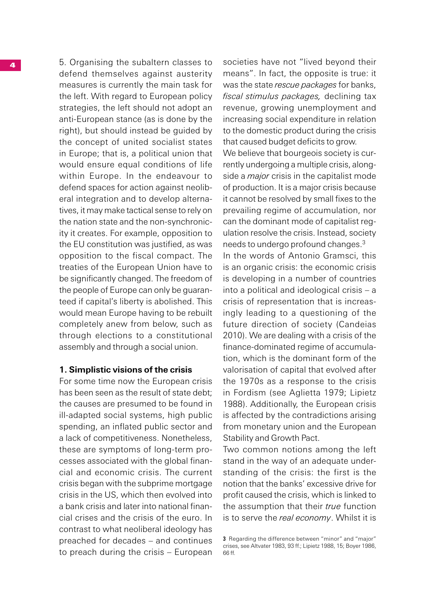5. Organising the subaltern classes to defend themselves against austerity measures is currently the main task for the left. With regard to European policy strategies, the left should not adopt an anti-European stance (as is done by the right), but should instead be guided by the concept of united socialist states in Europe; that is, a political union that would ensure equal conditions of life within Europe. In the endeavour to defend spaces for action against neoliberal integration and to develop alternatives, it may make tactical sense to rely on the nation state and the non-synchronicity it creates. For example, opposition to the EU constitution was justified, as was opposition to the fiscal compact. The treaties of the European Union have to be significantly changed. The freedom of the people of Europe can only be guaranteed if capital's liberty is abolished. This would mean Europe having to be rebuilt completely anew from below, such as through elections to a constitutional assembly and through a social union.

#### **1. Simplistic visions of the crisis**

For some time now the European crisis has been seen as the result of state debt; the causes are presumed to be found in ill-adapted social systems, high public spending, an inflated public sector and a lack of competitiveness. Nonetheless, these are symptoms of long-term processes associated with the global financial and economic crisis. The current crisis began with the subprime mortgage crisis in the US, which then evolved into a bank crisis and later into national financial crises and the crisis of the euro. In contrast to what neoliberal ideology has preached for decades – and continues to preach during the crisis – European societies have not "lived beyond their means". In fact, the opposite is true: it was the state *rescue packages* for banks, *fiscal stimulus packages,* declining tax revenue, growing unemployment and increasing social expenditure in relation to the domestic product during the crisis that caused budget deficits to grow.

We believe that bourgeois society is currently undergoing a multiple crisis, alongside a *major* crisis in the capitalist mode of production. It is a major crisis because it cannot be resolved by small fixes to the prevailing regime of accumulation, nor can the dominant mode of capitalist regulation resolve the crisis. Instead, society needs to undergo profound changes.<sup>3</sup> In the words of Antonio Gramsci, this is an organic crisis: the economic crisis is developing in a number of countries into a political and ideological crisis – a crisis of representation that is increasingly leading to a questioning of the future direction of society (Candeias 2010). We are dealing with a crisis of the finance-dominated regime of accumulation, which is the dominant form of the valorisation of capital that evolved after the 1970s as a response to the crisis in Fordism (see Aglietta 1979; Lipietz 1988). Additionally, the European crisis is affected by the contradictions arising from monetary union and the European Stability and Growth Pact.

Two common notions among the left stand in the way of an adequate understanding of the crisis: the first is the notion that the banks' excessive drive for profit caused the crisis, which is linked to the assumption that their *true* function is to serve the *real economy*. Whilst it is

**<sup>3</sup>** Regarding the difference between "minor" and "major" crises, see Altvater 1983, 93 ff.; Lipietz 1988, 15; Boyer 1986, 66 ff.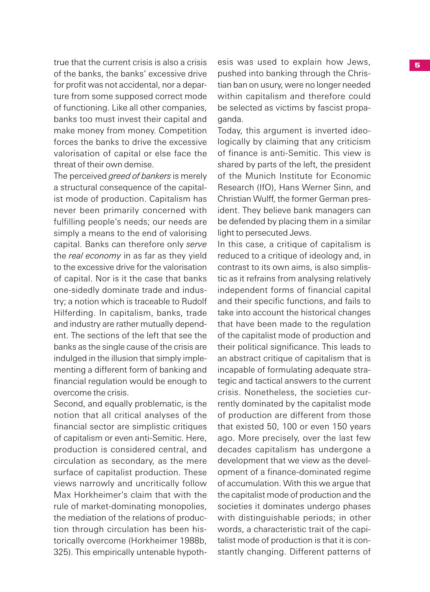of the banks, the banks' excessive drive for profit was not accidental, nor a departure from some supposed correct mode of functioning. Like all other companies, banks too must invest their capital and make money from money. Competition forces the banks to drive the excessive valorisation of capital or else face the threat of their own demise.

The perceived *greed of bankers* is merely a structural consequence of the capitalist mode of production. Capitalism has never been primarily concerned with fulfilling people's needs; our needs are simply a means to the end of valorising capital. Banks can therefore only *serve* the *real economy* in as far as they yield to the excessive drive for the valorisation of capital. Nor is it the case that banks one-sidedly dominate trade and industry; a notion which is traceable to Rudolf Hilferding. In capitalism, banks, trade and industry are rather mutually dependent. The sections of the left that see the banks as the single cause of the crisis are indulged in the illusion that simply implementing a different form of banking and financial regulation would be enough to overcome the crisis.

Second, and equally problematic, is the notion that all critical analyses of the financial sector are simplistic critiques of capitalism or even anti-Semitic. Here, production is considered central, and circulation as secondary, as the mere surface of capitalist production. These views narrowly and uncritically follow Max Horkheimer's claim that with the rule of market-dominating monopolies, the mediation of the relations of production through circulation has been historically overcome (Horkheimer 1988b, 325). This empirically untenable hypoth-

true that the current crisis is also a crisis besis was used to explain how Jews, he has pushed into banking through the Christian ban on usury, were no longer needed within capitalism and therefore could be selected as victims by fascist propaganda.

> Today, this argument is inverted ideologically by claiming that any criticism of finance is anti-Semitic. This view is shared by parts of the left, the president of the Munich Institute for Economic Research (IfO), Hans Werner Sinn, and Christian Wulff, the former German president. They believe bank managers can be defended by placing them in a similar light to persecuted Jews.

> In this case, a critique of capitalism is reduced to a critique of ideology and, in contrast to its own aims, is also simplistic as it refrains from analysing relatively independent forms of financial capital and their specific functions, and fails to take into account the historical changes that have been made to the regulation of the capitalist mode of production and their political significance. This leads to an abstract critique of capitalism that is incapable of formulating adequate strategic and tactical answers to the current crisis. Nonetheless, the societies currently dominated by the capitalist mode of production are different from those that existed 50, 100 or even 150 years ago. More precisely, over the last few decades capitalism has undergone a development that we view as the development of a finance-dominated regime of accumulation. With this we argue that the capitalist mode of production and the societies it dominates undergo phases with distinguishable periods; in other words, a characteristic trait of the capitalist mode of production is that it is constantly changing. Different patterns of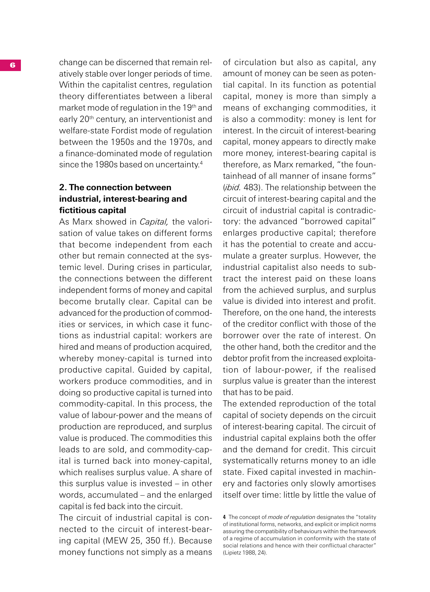<sup>6</sup> change can be discerned that remain relatively stable over longer periods of time. Within the capitalist centres, regulation theory differentiates between a liberal market mode of regulation in the 19<sup>th</sup> and early 20<sup>th</sup> century, an interventionist and welfare-state Fordist mode of regulation between the 1950s and the 1970s, and a finance-dominated mode of regulation since the 1980s based on uncertainty.<sup>4</sup>

# **2. The connection between industrial, interest-bearing and fictitious capital**

As Marx showed in *Capital,* the valorisation of value takes on different forms that become independent from each other but remain connected at the systemic level. During crises in particular, the connections between the different independent forms of money and capital become brutally clear. Capital can be advanced for the production of commodities or services, in which case it functions as industrial capital: workers are hired and means of production acquired. whereby money-capital is turned into productive capital. Guided by capital, workers produce commodities, and in doing so productive capital is turned into commodity-capital. In this process, the value of labour-power and the means of production are reproduced, and surplus value is produced. The commodities this leads to are sold, and commodity-capital is turned back into money-capital, which realises surplus value. A share of this surplus value is invested – in other words, accumulated – and the enlarged capital is fed back into the circuit.

The circuit of industrial capital is connected to the circuit of interest-bearing capital (MEW 25, 350 ff.). Because money functions not simply as a means of circulation but also as capital, any amount of money can be seen as potential capital. In its function as potential capital, money is more than simply a means of exchanging commodities, it is also a commodity: money is lent for interest. In the circuit of interest-bearing capital, money appears to directly make more money, interest-bearing capital is therefore, as Marx remarked, "the fountainhead of all manner of insane forms" (*ibid.* 483). The relationship between the circuit of interest-bearing capital and the circuit of industrial capital is contradictory: the advanced "borrowed capital" enlarges productive capital; therefore it has the potential to create and accumulate a greater surplus. However, the industrial capitalist also needs to subtract the interest paid on these loans from the achieved surplus, and surplus value is divided into interest and profit. Therefore, on the one hand, the interests of the creditor conflict with those of the borrower over the rate of interest. On the other hand, both the creditor and the debtor profit from the increased exploitation of labour-power, if the realised surplus value is greater than the interest that has to be paid.

The extended reproduction of the total capital of society depends on the circuit of interest-bearing capital. The circuit of industrial capital explains both the offer and the demand for credit. This circuit systematically returns money to an idle state. Fixed capital invested in machinery and factories only slowly amortises itself over time: little by little the value of

**<sup>4</sup>** The concept of *mode of regulation* designates the "totality of institutional forms, networks, and explicit or implicit norms assuring the compatibility of behaviours within the framework of a regime of accumulation in conformity with the state of social relations and hence with their conflictual character" (Lipietz 1988, 24).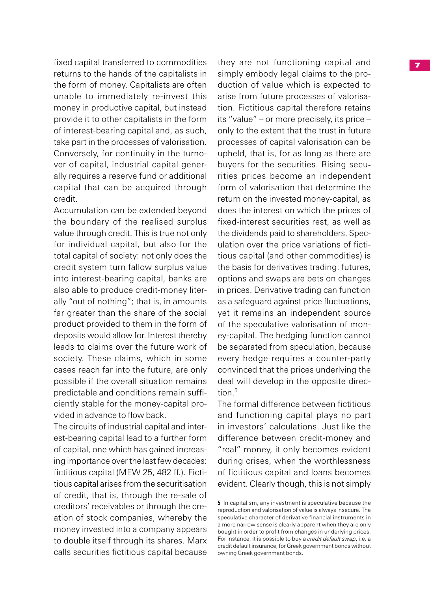fixed capital transferred to commodities they are not functioning capital and the state of  $\overline{\phantom{a}}$ returns to the hands of the capitalists in the form of money. Capitalists are often unable to immediately re-invest this money in productive capital, but instead provide it to other capitalists in the form of interest-bearing capital and, as such, take part in the processes of valorisation. Conversely, for continuity in the turnover of capital, industrial capital generally requires a reserve fund or additional capital that can be acquired through credit.

Accumulation can be extended beyond the boundary of the realised surplus value through credit. This is true not only for individual capital, but also for the total capital of society: not only does the credit system turn fallow surplus value into interest-bearing capital, banks are also able to produce credit-money literally "out of nothing"; that is, in amounts far greater than the share of the social product provided to them in the form of deposits would allow for. Interest thereby leads to claims over the future work of society. These claims, which in some cases reach far into the future, are only possible if the overall situation remains predictable and conditions remain sufficiently stable for the money-capital provided in advance to flow back.

The circuits of industrial capital and interest-bearing capital lead to a further form of capital, one which has gained increasing importance over the last few decades: fictitious capital (MEW 25, 482 ff.). Fictitious capital arises from the securitisation of credit, that is, through the re-sale of creditors' receivables or through the creation of stock companies, whereby the money invested into a company appears to double itself through its shares. Marx calls securities fictitious capital because simply embody legal claims to the production of value which is expected to arise from future processes of valorisation. Fictitious capital therefore retains its "value" – or more precisely, its price – only to the extent that the trust in future processes of capital valorisation can be upheld, that is, for as long as there are buyers for the securities. Rising securities prices become an independent form of valorisation that determine the return on the invested money-capital, as does the interest on which the prices of fixed-interest securities rest, as well as the dividends paid to shareholders. Speculation over the price variations of fictitious capital (and other commodities) is the basis for derivatives trading: futures, options and swaps are bets on changes in prices. Derivative trading can function as a safeguard against price fluctuations, yet it remains an independent source of the speculative valorisation of money-capital. The hedging function cannot be separated from speculation, because every hedge requires a counter-party convinced that the prices underlying the deal will develop in the opposite direction<sup>5</sup>

The formal difference between fictitious and functioning capital plays no part in investors' calculations. Just like the difference between credit-money and "real" money, it only becomes evident during crises, when the worthlessness of fictitious capital and loans becomes evident. Clearly though, this is not simply

**<sup>5</sup>** In capitalism, any investment is speculative because the reproduction and valorisation of value is always insecure. The speculative character of derivative financial instruments in a more narrow sense is clearly apparent when they are only bought in order to profit from changes in underlying prices. For instance, it is possible to buy a *credit default swap*, i.e. a credit default insurance, for Greek government bonds without owning Greek government bonds.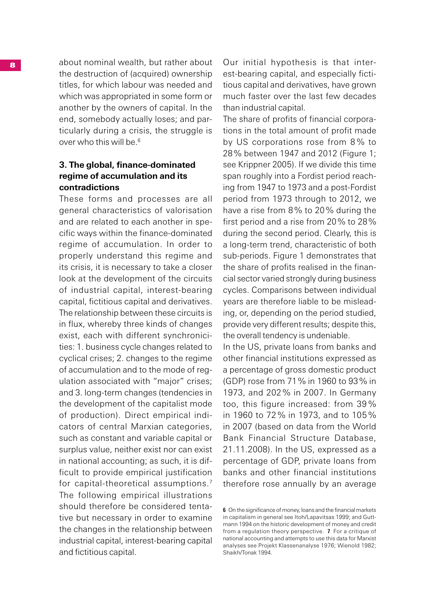**8** about nominal wealth, but rather about the destruction of (acquired) ownership titles, for which labour was needed and which was appropriated in some form or another by the owners of capital. In the end, somebody actually loses; and particularly during a crisis, the struggle is over who this will be. $6$ 

# **3. The global, finance-dominated regime of accumulation and its contradictions**

These forms and processes are all general characteristics of valorisation and are related to each another in specific ways within the finance-dominated regime of accumulation. In order to properly understand this regime and its crisis, it is necessary to take a closer look at the development of the circuits of industrial capital, interest-bearing capital, fictitious capital and derivatives. The relationship between these circuits is in flux, whereby three kinds of changes exist, each with different synchronicities: 1. business cycle changes related to cyclical crises; 2. changes to the regime of accumulation and to the mode of regulation associated with "major" crises; and 3. long-term changes (tendencies in the development of the capitalist mode of production). Direct empirical indicators of central Marxian categories, such as constant and variable capital or surplus value, neither exist nor can exist in national accounting; as such, it is difficult to provide empirical justification for capital-theoretical assumptions.<sup>7</sup> The following empirical illustrations should therefore be considered tentative but necessary in order to examine the changes in the relationship between industrial capital, interest-bearing capital and fictitious capital.

Our initial hypothesis is that interest-bearing capital, and especially fictitious capital and derivatives, have grown much faster over the last few decades than industrial capital.

The share of profits of financial corporations in the total amount of profit made by US corporations rose from 8 % to 28 % between 1947 and 2012 (Figure 1; see Krippner 2005). If we divide this time span roughly into a Fordist period reaching from 1947 to 1973 and a post-Fordist period from 1973 through to 2012, we have a rise from 8 % to 20 % during the first period and a rise from 20% to 28% during the second period. Clearly, this is a long-term trend, characteristic of both sub-periods. Figure 1 demonstrates that the share of profits realised in the financial sector varied strongly during business cycles. Comparisons between individual years are therefore liable to be misleading, or, depending on the period studied, provide very different results; despite this, the overall tendency is undeniable.

In the US, private loans from banks and other financial institutions expressed as a percentage of gross domestic product (GDP) rose from 71% in 1960 to 93% in 1973, and 202 % in 2007. In Germany too, this figure increased: from 39 % in 1960 to 72 % in 1973, and to 105 % in 2007 (based on data from the World Bank Financial Structure Database, 21.11.2008). In the US, expressed as a percentage of GDP, private loans from banks and other financial institutions therefore rose annually by an average

**<sup>6</sup>** On the significance of money, loans and the financial markets in capitalism in general see Itoh/Lapavitsas 1999; and Guttmann 1994 on the historic development of money and credit from a regulation theory perspective. **7** For a critique of national accounting and attempts to use this data for Marxist analyses see Projekt Klassenanalyse 1976; Wienold 1982; Shaikh/Tonak 1994.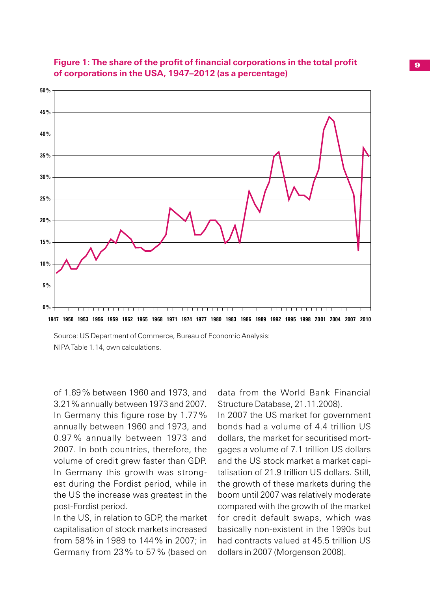

**Figure 1: The share of the profit of financial corporations in the total profit of corporations in the USA, 1947–2012 (as a percentage)**

Source: US Department of Commerce, Bureau of Economic Analysis: NIPA Table 1.14, own calculations.

of 1.69% between 1960 and 1973, and 3.21% annually between 1973 and 2007. In Germany this figure rose by 1.77 % annually between 1960 and 1973, and 0.97 % annually between 1973 and 2007. In both countries, therefore, the volume of credit grew faster than GDP. In Germany this growth was strongest during the Fordist period, while in the US the increase was greatest in the post-Fordist period.

In the US, in relation to GDP, the market capitalisation of stock markets increased from 58 % in 1989 to 144 % in 2007; in Germany from 23 % to 57 % (based on data from the World Bank Financial Structure Database, 21.11.2008).

In 2007 the US market for government bonds had a volume of 4.4 trillion US dollars, the market for securitised mortgages a volume of 7.1 trillion US dollars and the US stock market a market capitalisation of 21.9 trillion US dollars. Still, the growth of these markets during the boom until 2007 was relatively moderate compared with the growth of the market for credit default swaps, which was basically non-existent in the 1990s but had contracts valued at 45.5 trillion US dollars in 2007 (Morgenson 2008).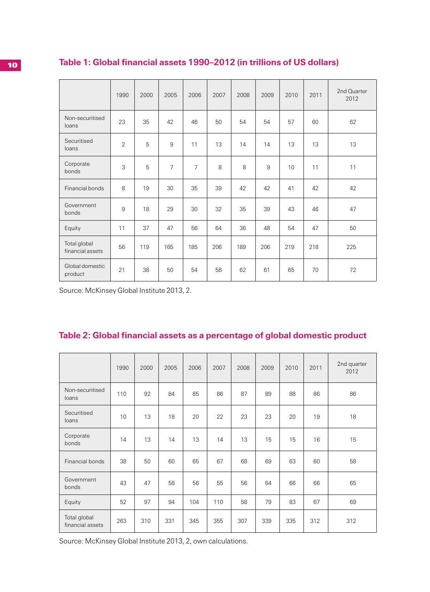| Table 1: Global financial assets 1990-2012 (in trillions of US dollars) |  |  |
|-------------------------------------------------------------------------|--|--|
|-------------------------------------------------------------------------|--|--|

|                                  | 1990           | 2000 | 2005 | 2006           | 2007 | 2008 | 2009 | 2010 | 2011 | 2nd Quarter<br>2012 |
|----------------------------------|----------------|------|------|----------------|------|------|------|------|------|---------------------|
| Non-securitised<br>loans         | 23             | 35   | 42   | 46             | 50   | 54   | 54   | 57   | 60   | 62                  |
| Securitised<br>loans             | $\overline{2}$ | 5    | 9    | 11             | 13   | 14   | 14   | 13   | 13   | 13                  |
| Corporate<br>bonds               | 3              | 5    | 7    | $\overline{7}$ | 8    | 8    | 9    | 10   | 11   | 11                  |
| Financial bonds                  | 8              | 19   | 30   | 35             | 39   | 42   | 42   | 41   | 42   | 42                  |
| Government<br>bonds              | 9              | 18   | 29   | 30             | 32   | 35   | 39   | 43   | 46   | 47                  |
| Equity                           | 11             | 37   | 47   | 56             | 64   | 36   | 48   | 54   | 47   | 50                  |
| Total global<br>financial assets | 56             | 119  | 165  | 185            | 206  | 189  | 206  | 219  | 218  | 225                 |
| Global domestic<br>product       | 21             | 38   | 50   | 54             | 58   | 62   | 61   | 65   | 70   | 72                  |

Source: McKinsey Global Institute 2013, 2.

| Table 2: Global financial assets as a percentage of global domestic product |  |  |
|-----------------------------------------------------------------------------|--|--|
|-----------------------------------------------------------------------------|--|--|

|                                  | 1990 | 2000 | 2005 | 2006 | 2007 | 2008 | 2009 | 2010 | 2011 | 2nd quarter<br>2012 |
|----------------------------------|------|------|------|------|------|------|------|------|------|---------------------|
| Non-securitised<br>loans         | 110  | 92   | 84   | 85   | 86   | 87   | 89   | 88   | 86   | 86                  |
| Securitised<br>loans             | 10   | 13   | 18   | 20   | 22   | 23   | 23   | 20   | 19   | 18                  |
| Corporate<br>bonds               | 14   | 13   | 14   | 13   | 14   | 13   | 15   | 15   | 16   | 15                  |
| Financial bonds                  | 38   | 50   | 60   | 65   | 67   | 68   | 69   | 63   | 60   | 58                  |
| Government<br>bonds              | 43   | 47   | 58   | 56   | 55   | 56   | 64   | 66   | 66   | 65                  |
| Equity                           | 52   | 97   | 94   | 104  | 110  | 58   | 79   | 83   | 67   | 69                  |
| Total global<br>financial assets | 263  | 310  | 331  | 345  | 355  | 307  | 339  | 335  | 312  | 312                 |

Source: McKinsey Global Institute 2013, 2, own calculations.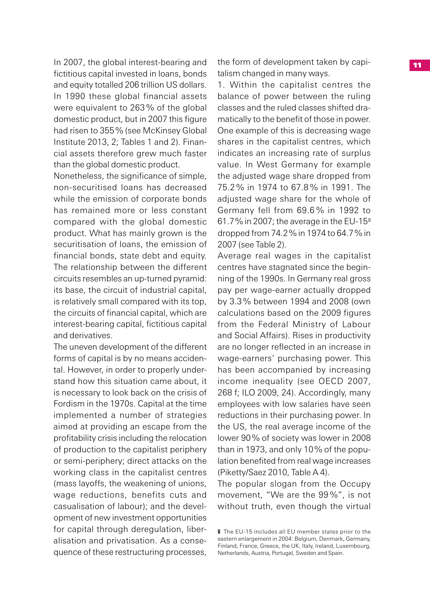fictitious capital invested in loans, bonds and equity totalled 206 trillion US dollars. In 1990 these global financial assets were equivalent to 263 % of the global domestic product, but in 2007 this figure had risen to 355% (see McKinsey Global Institute 2013, 2; Tables 1 and 2). Financial assets therefore grew much faster than the global domestic product.

Nonetheless, the significance of simple, non-securitised loans has decreased while the emission of corporate bonds has remained more or less constant compared with the global domestic product. What has mainly grown is the securitisation of loans, the emission of financial bonds, state debt and equity. The relationship between the different circuits resembles an up-turned pyramid: its base, the circuit of industrial capital, is relatively small compared with its top, the circuits of financial capital, which are interest-bearing capital, fictitious capital and derivatives.

The uneven development of the different forms of capital is by no means accidental. However, in order to properly understand how this situation came about, it is necessary to look back on the crisis of Fordism in the 1970s. Capital at the time implemented a number of strategies aimed at providing an escape from the profitability crisis including the relocation of production to the capitalist periphery or semi-periphery; direct attacks on the working class in the capitalist centres (mass layoffs, the weakening of unions, wage reductions, benefits cuts and casualisation of labour); and the development of new investment opportunities for capital through deregulation, liberalisation and privatisation. As a consequence of these restructuring processes,

In 2007, the global interest-bearing and the form of development taken by capithe form of development taken by capitalism changed in many ways.

> 1. Within the capitalist centres the balance of power between the ruling classes and the ruled classes shifted dramatically to the benefit of those in power. One example of this is decreasing wage shares in the capitalist centres, which indicates an increasing rate of surplus value. In West Germany for example the adjusted wage share dropped from 75.2 % in 1974 to 67.8 % in 1991. The adjusted wage share for the whole of Germany fell from 69.6 % in 1992 to 61.7% in 2007; the average in the EU-158 dropped from 74.2% in 1974 to 64.7% in 2007 (see Table 2).

> Average real wages in the capitalist centres have stagnated since the beginning of the 1990s. In Germany real gross pay per wage-earner actually dropped by 3.3 % between 1994 and 2008 (own calculations based on the 2009 figures from the Federal Ministry of Labour and Social Affairs). Rises in productivity are no longer reflected in an increase in wage-earners' purchasing power. This has been accompanied by increasing income inequality (see OECD 2007, 268 f; ILO 2009, 24). Accordingly, many employees with low salaries have seen reductions in their purchasing power. In the US, the real average income of the lower 90% of society was lower in 2008 than in 1973, and only 10% of the population benefited from real wage increases (Piketty/Saez 2010, Table A 4).

> The popular slogan from the Occupy movement, "We are the 99 %", is not without truth, even though the virtual

**<sup>8</sup>** The EU-15 includes all EU member states prior to the eastern enlargement in 2004: Belgium, Denmark, Germany, Finland, France, Greece, the UK, Italy, Ireland, Luxembourg, Netherlands, Austria, Portugal, Sweden and Spain.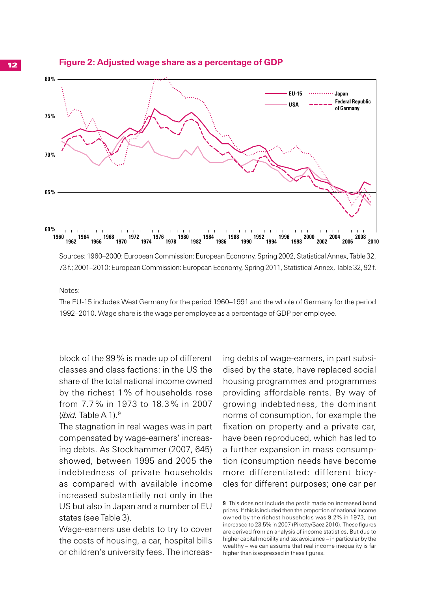#### **Figure 2: Adjusted wage share as a percentage of GDP**



Sources: 1960–2000: EuropeanCommission: European Economy, Spring 2002, StatisticalAnnex, Table 32, 73 f.; 2001–2010: European Commission: European Economy, Spring 2011, Statistical Annex, Table 32, 92 f.

#### Notes:

The EU-15 includes West Germany for the period 1960–1991 and the whole of Germany for the period 1992–2010. Wage share is the wage per employee as a percentage of GDP per employee.

block of the 99% is made up of different classes and class factions: in the US the share of the total national income owned by the richest 1 % of households rose from 7.7 % in 1973 to 18.3 % in 2007 (*ibid.* Table A 1).9

The stagnation in real wages was in part compensated by wage-earners' increasing debts. As Stockhammer (2007, 645) showed, between 1995 and 2005 the indebtedness of private households as compared with available income increased substantially not only in the US but also in Japan and a number of EU states (see Table 3).

Wage-earners use debts to try to cover the costs of housing, a car, hospital bills or children's university fees. The increasing debts of wage-earners, in part subsidised by the state, have replaced social housing programmes and programmes providing affordable rents. By way of growing indebtedness, the dominant norms of consumption, for example the fixation on property and a private car, have been reproduced, which has led to a further expansion in mass consumption (consumption needs have become more differentiated: different bicycles for different purposes; one car per

**<sup>9</sup>** This does not include the profit made on increased bond prices. If this is included then the proportion of national income owned by the richest households was 9.2% in 1973, but increased to 23.5% in 2007 (Piketty/Saez 2010). These figures are derived from an analysis of income statistics. But due to higher capital mobility and tax avoidance – in particular by the wealthy – we can assume that real income inequality is far higher than is expressed in these figures.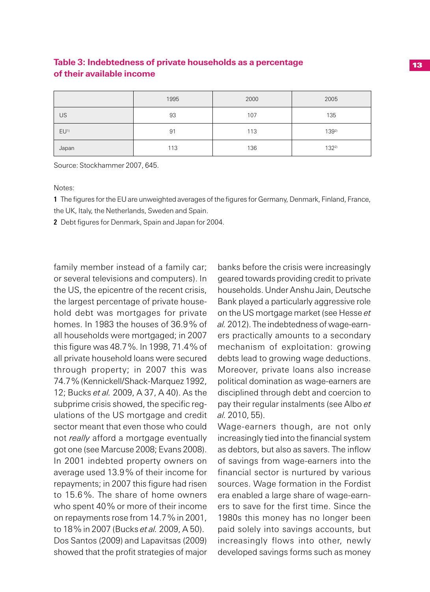# **Table 3: Indebtedness of private households as a percentage of their available income**

|                 | 1995 | 2000 | 2005      |
|-----------------|------|------|-----------|
| US              | 93   | 107  | 135       |
| EU <sup>1</sup> | 91   | 113  | $139^{2}$ |
| Japan           | 113  | 136  | $132^{2}$ |

Source: Stockhammer 2007, 645.

Notes:

**1** The figures forthe EU are unweighted averages of the figures for Germany, Denmark, Finland, France, the UK, Italy, the Netherlands, Sweden and Spain.

**2** Debt figures for Denmark, Spain and Japan for 2004.

family member instead of a family car; or several televisions and computers). In the US, the epicentre of the recent crisis, the largest percentage of private household debt was mortgages for private homes. In 1983 the houses of 36.9% of all households were mortgaged; in 2007 this figure was 48.7%. In 1998, 71.4% of all private household loans were secured through property; in 2007 this was 74.7% (Kennickell/Shack-Marquez 1992, 12; Bucks *et al.* 2009, A 37, A 40). As the subprime crisis showed, the specific regulations of the US mortgage and credit sector meant that even those who could not *really* afford a mortgage eventually got one (see Marcuse 2008; Evans 2008). In 2001 indebted property owners on average used 13.9% of their income for repayments; in 2007 this figure had risen to 15.6 %. The share of home owners who spent 40% or more of their income on repayments rose from 14.7% in 2001, to 18% in 2007 (Bucks *et al.* 2009, A 50). Dos Santos (2009) and Lapavitsas (2009) showed that the profit strategies of major banks before the crisis were increasingly geared towards providing credit to private households. Under Anshu Jain, Deutsche Bank played a particularly aggressive role on the US mortgage market (see Hesse *et al.* 2012). The indebtedness of wage-earners practically amounts to a secondary mechanism of exploitation: growing debts lead to growing wage deductions. Moreover, private loans also increase political domination as wage-earners are disciplined through debt and coercion to pay their regular instalments (see Albo *et al.* 2010, 55).

Wage-earners though, are not only increasingly tied into the financial system as debtors, but also as savers. The inflow of savings from wage-earners into the financial sector is nurtured by various sources. Wage formation in the Fordist era enabled a large share of wage-earners to save for the first time. Since the 1980s this money has no longer been paid solely into savings accounts, but increasingly flows into other, newly developed savings forms such as money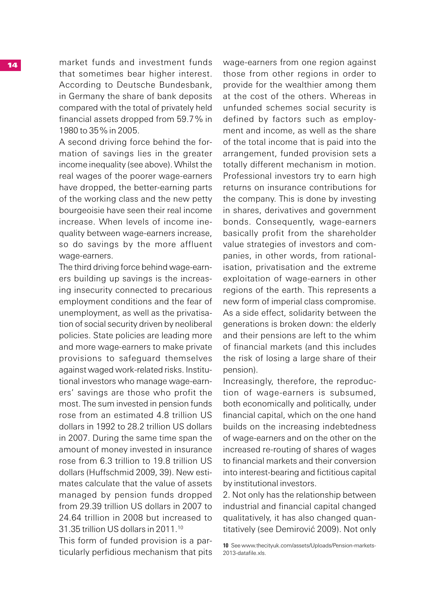14 **market funds and investment funds** that sometimes bear higher interest. According to Deutsche Bundesbank, in Germany the share of bank deposits compared with the total of privately held financial assets dropped from 59.7% in 1980 to 35% in 2005.

> A second driving force behind the formation of savings lies in the greater income inequality (see above). Whilst the real wages of the poorer wage-earners have dropped, the better-earning parts of the working class and the new petty bourgeoisie have seen their real income increase. When levels of income inequality between wage-earners increase, so do savings by the more affluent wage-earners.

> The third driving force behind wage-earners building up savings is the increasing insecurity connected to precarious employment conditions and the fear of unemployment, as well as the privatisation of social security driven by neoliberal policies. State policies are leading more and more wage-earners to make private provisions to safeguard themselves against waged work-related risks. Institutional investors who manage wage-earners' savings are those who profit the most. The sum invested in pension funds rose from an estimated 4.8 trillion US dollars in 1992 to 28.2 trillion US dollars in 2007. During the same time span the amount of money invested in insurance rose from 6.3 trillion to 19.8 trillion US dollars (Huffschmid 2009, 39). New estimates calculate that the value of assets managed by pension funds dropped from 29.39 trillion US dollars in 2007 to 24.64 trillion in 2008 but increased to 31.35 trillion US dollars in 2011.10

> This form of funded provision is a particularly perfidious mechanism that pits

wage-earners from one region against those from other regions in order to provide for the wealthier among them at the cost of the others. Whereas in unfunded schemes social security is defined by factors such as employment and income, as well as the share of the total income that is paid into the arrangement, funded provision sets a totally different mechanism in motion. Professional investors try to earn high returns on insurance contributions for the company. This is done by investing in shares, derivatives and government bonds. Consequently, wage-earners basically profit from the shareholder value strategies of investors and companies, in other words, from rationalisation, privatisation and the extreme exploitation of wage-earners in other regions of the earth. This represents a new form of imperial class compromise. As a side effect, solidarity between the generations is broken down: the elderly and their pensions are left to the whim of financial markets (and this includes the risk of losing a large share of their pension).

Increasingly, therefore, the reproduction of wage-earners is subsumed, both economically and politically, under financial capital, which on the one hand builds on the increasing indebtedness of wage-earners and on the other on the increased re-routing of shares of wages to financial markets and their conversion into interest-bearing and fictitious capital by institutional investors.

2. Not only has the relationship between industrial and financial capital changed qualitatively, it has also changed quantitatively (see Demirović 2009). Not only

**<sup>10</sup>** See www.thecityuk.com/assets/Uploads/Pension-markets-2013-datafile.xls.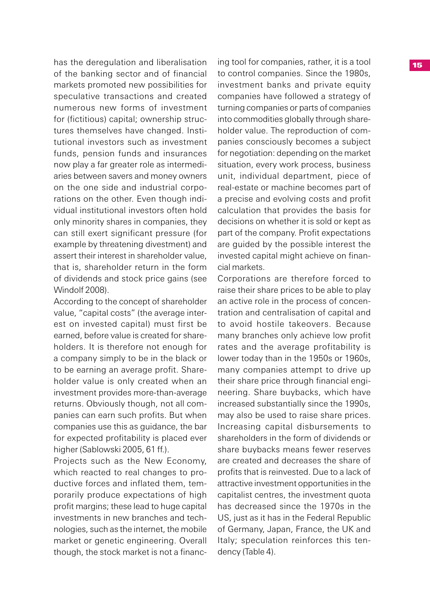has the deregulation and liberalisation <sup>15</sup> ing tool for companies, rather, it is a tool of the banking sector and of financial markets promoted new possibilities for speculative transactions and created numerous new forms of investment for (fictitious) capital; ownership structures themselves have changed. Institutional investors such as investment funds, pension funds and insurances now play a far greater role as intermediaries between savers and money owners on the one side and industrial corporations on the other. Even though individual institutional investors often hold only minority shares in companies, they can still exert significant pressure (for example by threatening divestment) and assert their interest in shareholder value, that is, shareholder return in the form of dividends and stock price gains (see Windolf 2008).

According to the concept of shareholder value, "capital costs" (the average interest on invested capital) must first be earned, before value is created for shareholders. It is therefore not enough for a company simply to be in the black or to be earning an average profit. Shareholder value is only created when an investment provides more-than-average returns. Obviously though, not all companies can earn such profits. But when companies use this as guidance, the bar for expected profitability is placed ever higher (Sablowski 2005, 61 ff.).

Projects such as the New Economy, which reacted to real changes to productive forces and inflated them, temporarily produce expectations of high profit margins; these lead to huge capital investments in new branches and technologies, such as the internet, the mobile market or genetic engineering. Overall though, the stock market is not a financ-

to control companies. Since the 1980s, investment banks and private equity companies have followed a strategy of turning companies or parts of companies into commodities globally through shareholder value. The reproduction of companies consciously becomes a subject for negotiation: depending on the market situation, every work process, business unit, individual department, piece of real-estate or machine becomes part of a precise and evolving costs and profit calculation that provides the basis for decisions on whether it is sold or kept as part of the company. Profit expectations are guided by the possible interest the invested capital might achieve on financial markets.

Corporations are therefore forced to raise their share prices to be able to play an active role in the process of concentration and centralisation of capital and to avoid hostile takeovers. Because many branches only achieve low profit rates and the average profitability is lower today than in the 1950s or 1960s, many companies attempt to drive up their share price through financial engineering. Share buybacks, which have increased substantially since the 1990s, may also be used to raise share prices. Increasing capital disbursements to shareholders in the form of dividends or share buybacks means fewer reserves are created and decreases the share of profits that is reinvested. Due to a lack of attractive investment opportunities in the capitalist centres, the investment quota has decreased since the 1970s in the US, just as it has in the Federal Republic of Germany, Japan, France, the UK and Italy; speculation reinforces this tendency (Table 4).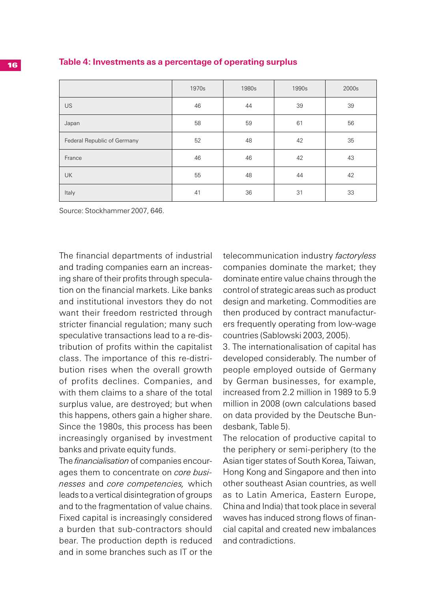|                             | 1970s | 1980s | 1990s | 2000s |
|-----------------------------|-------|-------|-------|-------|
| <b>US</b>                   | 46    | 44    | 39    | 39    |
| Japan                       | 58    | 59    | 61    | 56    |
| Federal Republic of Germany | 52    | 48    | 42    | 35    |
| France                      | 46    | 46    | 42    | 43    |
| UK                          | 55    | 48    | 44    | 42    |
| Italy                       | 41    | 36    | 31    | 33    |

#### **Table 4: Investments as a percentage of operating surplus**

Source: Stockhammer 2007, 646.

The financial departments of industrial and trading companies earn an increasing share of their profits through speculation on the financial markets. Like banks and institutional investors they do not want their freedom restricted through stricter financial regulation; many such speculative transactions lead to a re-distribution of profits within the capitalist class. The importance of this re-distribution rises when the overall growth of profits declines. Companies, and with them claims to a share of the total surplus value, are destroyed; but when this happens, others gain a higher share. Since the 1980s, this process has been increasingly organised by investment banks and private equity funds.

The *financialisation* of companies encourages them to concentrate on *core businesses* and *core competencies,* which leads to a vertical disintegration of groups and to the fragmentation of value chains. Fixed capital is increasingly considered a burden that sub-contractors should bear. The production depth is reduced and in some branches such as IT or the telecommunication industry *factoryless* companies dominate the market; they dominate entire value chains through the control of strategic areas such as product design and marketing. Commodities are then produced by contract manufacturers frequently operating from low-wage countries (Sablowski 2003, 2005).

3. The internationalisation of capital has developed considerably. The number of people employed outside of Germany by German businesses, for example, increased from 2.2 million in 1989 to 5.9 million in 2008 (own calculations based on data provided by the Deutsche Bundesbank, Table 5).

The relocation of productive capital to the periphery or semi-periphery (to the Asian tiger states of South Korea, Taiwan, Hong Kong and Singapore and then into other southeast Asian countries, as well as to Latin America, Eastern Europe, China and India) that took place in several waves has induced strong flows of financial capital and created new imbalances and contradictions.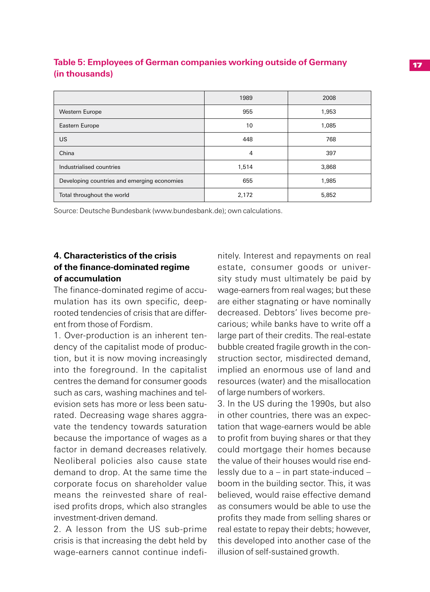|                                             | 1989  | 2008  |
|---------------------------------------------|-------|-------|
| Western Europe                              | 955   | 1,953 |
| Eastern Europe                              | 10    | 1,085 |
| <b>US</b>                                   | 448   | 768   |
| China                                       | 4     | 397   |
| Industrialised countries                    | 1.514 | 3.868 |
| Developing countries and emerging economies | 655   | 1,985 |
| Total throughout the world                  | 2,172 | 5,852 |

# **Table 5: Employees of German companies working outside of Germany (in thousands)**

Source: Deutsche Bundesbank (www.bundesbank.de); own calculations.

# **4. Characteristics of the crisis of the finance-dominated regime of accumulation**

The finance-dominated regime of accumulation has its own specific, deeprooted tendencies of crisis that are different from those of Fordism.

1. Over-production is an inherent tendency of the capitalist mode of production, but it is now moving increasingly into the foreground. In the capitalist centres the demand for consumer goods such as cars, washing machines and television sets has more or less been saturated. Decreasing wage shares aggravate the tendency towards saturation because the importance of wages as a factor in demand decreases relatively. Neoliberal policies also cause state demand to drop. At the same time the corporate focus on shareholder value means the reinvested share of realised profits drops, which also strangles investment-driven demand.

2. A lesson from the US sub-prime crisis is that increasing the debt held by wage-earners cannot continue indefi-

nitely. Interest and repayments on real estate, consumer goods or university study must ultimately be paid by wage-earners from real wages; but these are either stagnating or have nominally decreased. Debtors' lives become precarious; while banks have to write off a large part of their credits. The real-estate bubble created fragile growth in the construction sector, misdirected demand, implied an enormous use of land and resources (water) and the misallocation of large numbers of workers.

3. In the US during the 1990s, but also in other countries, there was an expectation that wage-earners would be able to profit from buying shares or that they could mortgage their homes because the value of their houses would rise endlessly due to a – in part state-induced – boom in the building sector. This, it was believed, would raise effective demand as consumers would be able to use the profits they made from selling shares or real estate to repay their debts; however, this developed into another case of the illusion of self-sustained growth.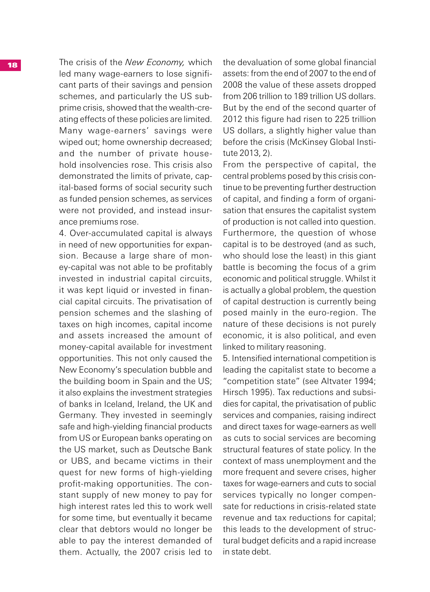<sup>18</sup> The crisis of the *New Economy,* which led many wage-earners to lose significant parts of their savings and pension schemes, and particularly the US subprime crisis, showed that the wealth-creating effects of these policies are limited. Many wage-earners' savings were wiped out; home ownership decreased; and the number of private household insolvencies rose. This crisis also demonstrated the limits of private, capital-based forms of social security such as funded pension schemes, as services were not provided, and instead insurance premiums rose.

> 4. Over-accumulated capital is always in need of new opportunities for expansion. Because a large share of money-capital was not able to be profitably invested in industrial capital circuits, it was kept liquid or invested in financial capital circuits. The privatisation of pension schemes and the slashing of taxes on high incomes, capital income and assets increased the amount of money-capital available for investment opportunities. This not only caused the New Economy's speculation bubble and the building boom in Spain and the US; it also explains the investment strategies of banks in Iceland, Ireland, the UK and Germany. They invested in seemingly safe and high-yielding financial products from US or European banks operating on the US market, such as Deutsche Bank or UBS, and became victims in their quest for new forms of high-yielding profit-making opportunities. The constant supply of new money to pay for high interest rates led this to work well for some time, but eventually it became clear that debtors would no longer be able to pay the interest demanded of them. Actually, the 2007 crisis led to

the devaluation of some global financial assets: from the end of 2007 to the end of 2008 the value of these assets dropped from 206 trillion to 189 trillion US dollars. But by the end of the second quarter of 2012 this figure had risen to 225 trillion US dollars, a slightly higher value than before the crisis (McKinsey Global Institute 2013, 2).

From the perspective of capital, the central problems posed by this crisis continue to be preventing further destruction of capital, and finding a form of organisation that ensures the capitalist system of production is not called into question. Furthermore, the question of whose capital is to be destroyed (and as such, who should lose the least) in this giant battle is becoming the focus of a grim economic and political struggle. Whilst it is actually a global problem, the question of capital destruction is currently being posed mainly in the euro-region. The nature of these decisions is not purely economic, it is also political, and even linked to military reasoning.

5. Intensified international competition is leading the capitalist state to become a "competition state" (see Altvater 1994; Hirsch 1995). Tax reductions and subsidies for capital, the privatisation of public services and companies, raising indirect and direct taxes for wage-earners as well as cuts to social services are becoming structural features of state policy. In the context of mass unemployment and the more frequent and severe crises, higher taxes for wage-earners and cuts to social services typically no longer compensate for reductions in crisis-related state revenue and tax reductions for capital; this leads to the development of structural budget deficits and a rapid increase in state debt.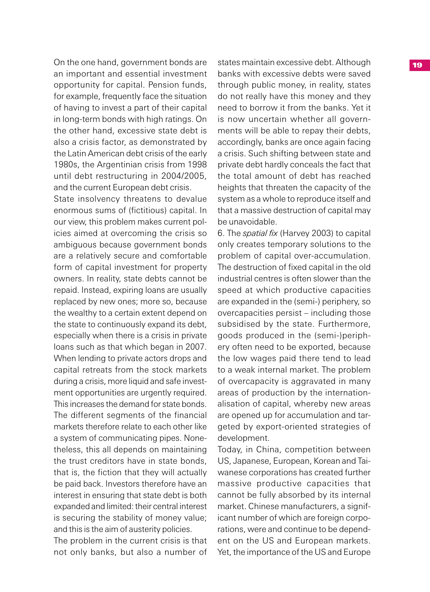On the one hand, government bonds are states maintain excessive debt. Although states that an important and essential investment opportunity for capital. Pension funds, for example, frequently face the situation of having to invest a part of their capital in long-term bonds with high ratings. On the other hand, excessive state debt is also a crisis factor, as demonstrated by the Latin American debt crisis of the early 1980s, the Argentinian crisis from 1998 until debt restructuring in 2004/2005, and the current European debt crisis.

State insolvency threatens to devalue enormous sums of (fictitious) capital. In our view, this problem makes current policies aimed at overcoming the crisis so ambiguous because government bonds are a relatively secure and comfortable form of capital investment for property owners. In reality, state debts cannot be repaid. Instead, expiring loans are usually replaced by new ones; more so, because the wealthy to a certain extent depend on the state to continuously expand its debt, especially when there is a crisis in private loans such as that which began in 2007. When lending to private actors drops and capital retreats from the stock markets during a crisis, more liquid and safe investment opportunities are urgently required. This increases the demand for state bonds. The different segments of the financial markets therefore relate to each other like a system of communicating pipes. Nonetheless, this all depends on maintaining the trust creditors have in state bonds, that is, the fiction that they will actually be paid back. Investors therefore have an interest in ensuring that state debt is both expanded and limited: their central interest is securing the stability of money value; and this is the aim of austerity policies.

The problem in the current crisis is that not only banks, but also a number of

banks with excessive debts were saved through public money, in reality, states do not really have this money and they need to borrow it from the banks. Yet it is now uncertain whether all governments will be able to repay their debts, accordingly, banks are once again facing a crisis. Such shifting between state and private debt hardly conceals the fact that the total amount of debt has reached heights that threaten the capacity of the system as a whole to reproduce itself and that a massive destruction of capital may be unavoidable.

6. The *spatial fix* (Harvey 2003) to capital only creates temporary solutions to the problem of capital over-accumulation. The destruction of fixed capital in the old industrial centres is often slower than the speed at which productive capacities are expanded in the (semi-) periphery, so overcapacities persist – including those subsidised by the state. Furthermore, goods produced in the (semi-)periphery often need to be exported, because the low wages paid there tend to lead to a weak internal market. The problem of overcapacity is aggravated in many areas of production by the internationalisation of capital, whereby new areas are opened up for accumulation and targeted by export-oriented strategies of development.

Today, in China, competition between US, Japanese, European, Korean and Taiwanese corporations has created further massive productive capacities that cannot be fully absorbed by its internal market. Chinese manufacturers, a significant number of which are foreign corporations, were and continue to be dependent on the US and European markets. Yet, the importance of the US and Europe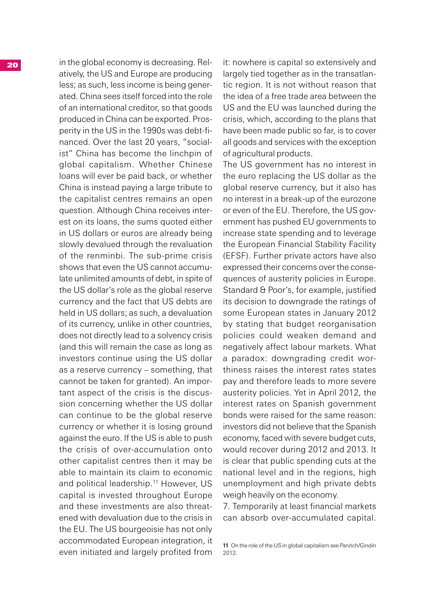**20** in the global economy is decreasing. Relatively, the US and Europe are producing less; as such, less income is being generated. China sees itself forced into the role of an international creditor, so that goods produced in China can be exported. Prosperity in the US in the 1990s was debt-financed. Over the last 20 years, "socialist" China has become the linchpin of global capitalism. Whether Chinese loans will ever be paid back, or whether China is instead paying a large tribute to the capitalist centres remains an open question. Although China receives interest on its loans, the sums quoted either in US dollars or euros are already being slowly devalued through the revaluation of the renminbi. The sub-prime crisis shows that even the US cannot accumulate unlimited amounts of debt, in spite of the US dollar's role as the global reserve currency and the fact that US debts are held in US dollars; as such, a devaluation of its currency, unlike in other countries, does not directly lead to a solvency crisis (and this will remain the case as long as investors continue using the US dollar as a reserve currency – something, that cannot be taken for granted). An important aspect of the crisis is the discussion concerning whether the US dollar can continue to be the global reserve currency or whether it is losing ground against the euro. If the US is able to push the crisis of over-accumulation onto other capitalist centres then it may be able to maintain its claim to economic and political leadership.<sup>11</sup> However, US capital is invested throughout Europe and these investments are also threatened with devaluation due to the crisis in the EU. The US bourgeoisie has not only accommodated European integration, it even initiated and largely profited from

it: nowhere is capital so extensively and largely tied together as in the transatlantic region. It is not without reason that the idea of a free trade area between the US and the EU was launched during the crisis, which, according to the plans that have been made public so far, is to cover all goods and services with the exception of agricultural products.

The US government has no interest in the euro replacing the US dollar as the global reserve currency, but it also has no interest in a break-up of the eurozone or even of the EU. Therefore, the US government has pushed EU governments to increase state spending and to leverage the European Financial Stability Facility (EFSF). Further private actors have also expressed their concerns over the consequences of austerity policies in Europe. Standard & Poor's, for example, justified its decision to downgrade the ratings of some European states in January 2012 by stating that budget reorganisation policies could weaken demand and negatively affect labour markets. What a paradox: downgrading credit worthiness raises the interest rates states pay and therefore leads to more severe austerity policies. Yet in April 2012, the interest rates on Spanish government bonds were raised for the same reason: investors did not believe that the Spanish economy, faced with severe budget cuts, would recover during 2012 and 2013. It is clear that public spending cuts at the national level and in the regions, high unemployment and high private debts weigh heavily on the economy.

7. Temporarily at least financial markets can absorb over-accumulated capital.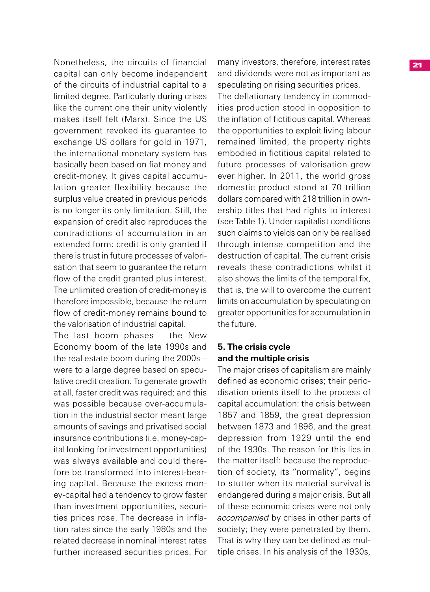Nonetheless, the circuits of financial many investors, therefore, interest rates **21** capital can only become independent of the circuits of industrial capital to a limited degree. Particularly during crises like the current one their unity violently makes itself felt (Marx). Since the US government revoked its guarantee to exchange US dollars for gold in 1971, the international monetary system has basically been based on fiat money and credit-money. It gives capital accumulation greater flexibility because the surplus value created in previous periods is no longer its only limitation. Still, the expansion of credit also reproduces the contradictions of accumulation in an extended form: credit is only granted if there is trust in future processes of valorisation that seem to guarantee the return flow of the credit granted plus interest. The unlimited creation of credit-money is therefore impossible, because the return flow of credit-money remains bound to the valorisation of industrial capital.

The last boom phases – the New Economy boom of the late 1990s and the real estate boom during the 2000s – were to a large degree based on speculative credit creation. To generate growth at all, faster credit was required; and this was possible because over-accumulation in the industrial sector meant large amounts of savings and privatised social insurance contributions (i.e. money-capital looking for investment opportunities) was always available and could therefore be transformed into interest-bearing capital. Because the excess money-capital had a tendency to grow faster than investment opportunities, securities prices rose. The decrease in inflation rates since the early 1980s and the related decrease in nominal interest rates further increased securities prices. For and dividends were not as important as speculating on rising securities prices. The deflationary tendency in commodities production stood in opposition to the inflation of fictitious capital. Whereas the opportunities to exploit living labour remained limited, the property rights embodied in fictitious capital related to future processes of valorisation grew ever higher. In 2011, the world gross domestic product stood at 70 trillion dollars compared with 218 trillion in ownership titles that had rights to interest (see Table 1). Under capitalist conditions such claims to yields can only be realised through intense competition and the destruction of capital. The current crisis reveals these contradictions whilst it also shows the limits of the temporal fix, that is, the will to overcome the current limits on accumulation by speculating on greater opportunities for accumulation in the future.

# **5. The crisis cycle and the multiple crisis**

The major crises of capitalism are mainly defined as economic crises; their periodisation orients itself to the process of capital accumulation: the crisis between 1857 and 1859, the great depression between 1873 and 1896, and the great depression from 1929 until the end of the 1930s. The reason for this lies in the matter itself: because the reproduction of society, its "normality", begins to stutter when its material survival is endangered during a major crisis. But all of these economic crises were not only *accompanied* by crises in other parts of society; they were penetrated by them. That is why they can be defined as multiple crises. In his analysis of the 1930s,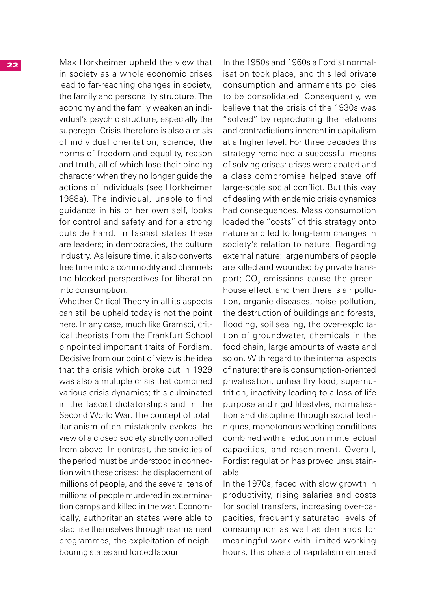22 Max Horkheimer upheld the view that in society as a whole economic crises lead to far-reaching changes in society, the family and personality structure. The economy and the family weaken an individual's psychic structure, especially the superego. Crisis therefore is also a crisis of individual orientation, science, the norms of freedom and equality, reason and truth, all of which lose their binding character when they no longer guide the actions of individuals (see Horkheimer 1988a). The individual, unable to find guidance in his or her own self, looks for control and safety and for a strong outside hand. In fascist states these are leaders; in democracies, the culture industry. As leisure time, it also converts free time into a commodity and channels the blocked perspectives for liberation into consumption.

> Whether Critical Theory in all its aspects can still be upheld today is not the point here. In any case, much like Gramsci, critical theorists from the Frankfurt School pinpointed important traits of Fordism. Decisive from our point of view is the idea that the crisis which broke out in 1929 was also a multiple crisis that combined various crisis dynamics; this culminated in the fascist dictatorships and in the Second World War. The concept of totalitarianism often mistakenly evokes the view of a closed society strictly controlled from above. In contrast, the societies of the period must be understood in connection with these crises: the displacement of millions of people, and the several tens of millions of people murdered in extermination camps and killed in the war. Economically, authoritarian states were able to stabilise themselves through rearmament programmes, the exploitation of neighbouring states and forced labour.

In the 1950s and 1960s a Fordist normalisation took place, and this led private consumption and armaments policies to be consolidated. Consequently, we believe that the crisis of the 1930s was "solved" by reproducing the relations and contradictions inherent in capitalism at a higher level. For three decades this strategy remained a successful means of solving crises: crises were abated and a class compromise helped stave off large-scale social conflict. But this way of dealing with endemic crisis dynamics had consequences. Mass consumption loaded the "costs" of this strategy onto nature and led to long-term changes in society's relation to nature. Regarding external nature: large numbers of people are killed and wounded by private transport; CO<sub>2</sub> emissions cause the greenhouse effect; and then there is air pollution, organic diseases, noise pollution, the destruction of buildings and forests, flooding, soil sealing, the over-exploitation of groundwater, chemicals in the food chain, large amounts of waste and so on. With regard to the internal aspects of nature: there is consumption-oriented privatisation, unhealthy food, supernutrition, inactivity leading to a loss of life purpose and rigid lifestyles; normalisation and discipline through social techniques, monotonous working conditions combined with a reduction in intellectual capacities, and resentment. Overall, Fordist regulation has proved unsustainable.

In the 1970s, faced with slow growth in productivity, rising salaries and costs for social transfers, increasing over-capacities, frequently saturated levels of consumption as well as demands for meaningful work with limited working hours, this phase of capitalism entered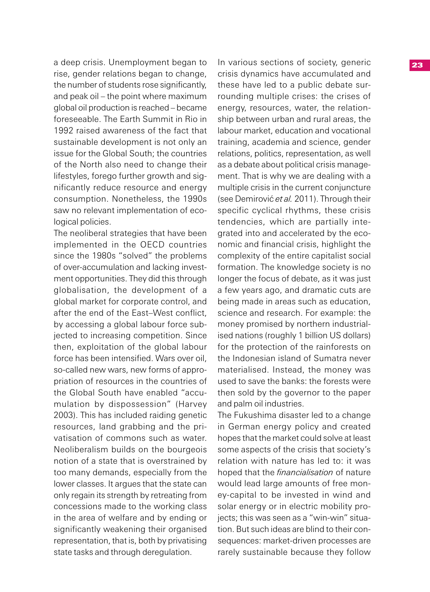a deep crisis. Unemployment began to ln various sections of society, generices and  $\overline{\phantom{z}^{23}}$ rise, gender relations began to change, the number of students rose significantly, and peak oil – the point where maximum global oil production is reached – became foreseeable. The Earth Summit in Rio in 1992 raised awareness of the fact that sustainable development is not only an issue for the Global South; the countries of the North also need to change their lifestyles, forego further growth and significantly reduce resource and energy consumption. Nonetheless, the 1990s saw no relevant implementation of ecological policies.

The neoliberal strategies that have been implemented in the OECD countries since the 1980s "solved" the problems of over-accumulation and lacking investment opportunities. They did this through globalisation, the development of a global market for corporate control, and after the end of the East–West conflict, by accessing a global labour force subjected to increasing competition. Since then, exploitation of the global labour force has been intensified. Wars over oil, so-called new wars, new forms of appropriation of resources in the countries of the Global South have enabled "accumulation by dispossession" (Harvey 2003). This has included raiding genetic resources, land grabbing and the privatisation of commons such as water. Neoliberalism builds on the bourgeois notion of a state that is overstrained by too many demands, especially from the lower classes. It argues that the state can only regain its strength by retreating from concessions made to the working class in the area of welfare and by ending or significantly weakening their organised representation, that is, both by privatising state tasks and through deregulation.

crisis dynamics have accumulated and these have led to a public debate surrounding multiple crises: the crises of energy, resources, water, the relationship between urban and rural areas, the labour market, education and vocational training, academia and science, gender relations, politics, representation, as well as a debate about political crisis management. That is why we are dealing with a multiple crisis in the current conjuncture (see Demirović *et al.* 2011). Through their specific cyclical rhythms, these crisis tendencies, which are partially integrated into and accelerated by the economic and financial crisis, highlight the complexity of the entire capitalist social formation. The knowledge society is no longer the focus of debate, as it was just a few years ago, and dramatic cuts are being made in areas such as education, science and research. For example: the money promised by northern industrialised nations (roughly 1 billion US dollars) for the protection of the rainforests on the Indonesian island of Sumatra never materialised. Instead, the money was used to save the banks: the forests were then sold by the governor to the paper and palm oil industries.

The Fukushima disaster led to a change in German energy policy and created hopes that the market could solve at least some aspects of the crisis that society's relation with nature has led to: it was hoped that the *financialisation* of nature would lead large amounts of free money-capital to be invested in wind and solar energy or in electric mobility projects; this was seen as a "win-win" situation. But such ideas are blind to their consequences: market-driven processes are rarely sustainable because they follow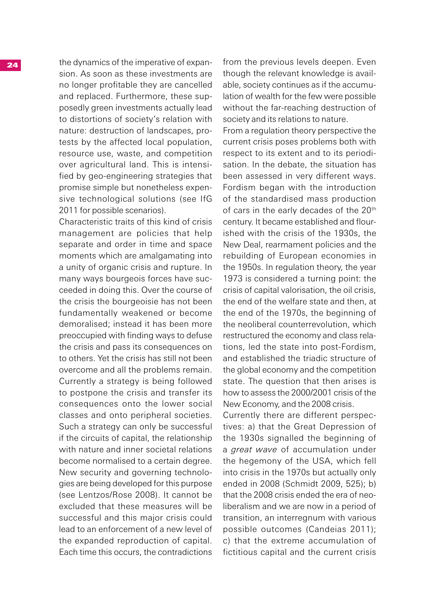**24** the dynamics of the imperative of expansion. As soon as these investments are no longer profitable they are cancelled and replaced. Furthermore, these supposedly green investments actually lead to distortions of society's relation with nature: destruction of landscapes, protests by the affected local population, resource use, waste, and competition over agricultural land. This is intensified by geo-engineering strategies that promise simple but nonetheless expensive technological solutions (see IfG 2011 for possible scenarios).

> Characteristic traits of this kind of crisis management are policies that help separate and order in time and space moments which are amalgamating into a unity of organic crisis and rupture. In many ways bourgeois forces have succeeded in doing this. Over the course of the crisis the bourgeoisie has not been fundamentally weakened or become demoralised; instead it has been more preoccupied with finding ways to defuse the crisis and pass its consequences on to others. Yet the crisis has still not been overcome and all the problems remain. Currently a strategy is being followed to postpone the crisis and transfer its consequences onto the lower social classes and onto peripheral societies. Such a strategy can only be successful if the circuits of capital, the relationship with nature and inner societal relations become normalised to a certain degree. New security and governing technologies are being developed for this purpose (see Lentzos/Rose 2008). It cannot be excluded that these measures will be successful and this major crisis could lead to an enforcement of a new level of the expanded reproduction of capital. Each time this occurs, the contradictions

from the previous levels deepen. Even though the relevant knowledge is available, society continues as if the accumulation of wealth for the few were possible without the far-reaching destruction of society and its relations to nature.

From a regulation theory perspective the current crisis poses problems both with respect to its extent and to its periodisation. In the debate, the situation has been assessed in very different ways. Fordism began with the introduction of the standardised mass production of cars in the early decades of the 20<sup>th</sup> century. It became established and flourished with the crisis of the 1930s, the New Deal, rearmament policies and the rebuilding of European economies in the 1950s. In regulation theory, the year 1973 is considered a turning point: the crisis of capital valorisation, the oil crisis, the end of the welfare state and then, at the end of the 1970s, the beginning of the neoliberal counterrevolution, which restructured the economy and class relations, led the state into post-Fordism, and established the triadic structure of the global economy and the competition state. The question that then arises is how to assess the 2000/2001 crisis of the New Economy, and the 2008 crisis.

Currently there are different perspectives: a) that the Great Depression of the 1930s signalled the beginning of a *great wave* of accumulation under the hegemony of the USA, which fell into crisis in the 1970s but actually only ended in 2008 (Schmidt 2009, 525); b) that the 2008 crisis ended the era of neoliberalism and we are now in a period of transition, an interregnum with various possible outcomes (Candeias 2011); c) that the extreme accumulation of fictitious capital and the current crisis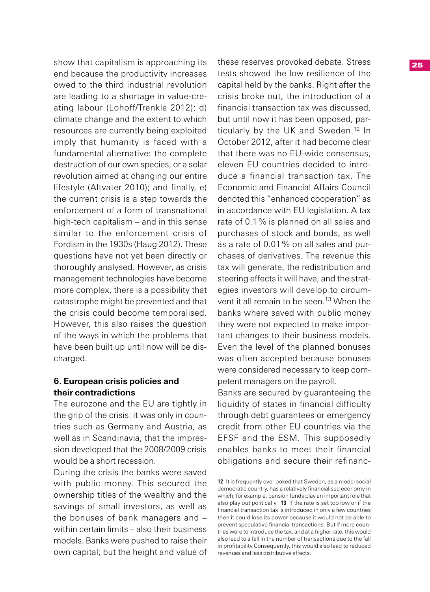show that capitalism is approaching its these reserves provoked debate. Stress end because the productivity increases owed to the third industrial revolution are leading to a shortage in value-creating labour (Lohoff/Trenkle 2012); d) climate change and the extent to which resources are currently being exploited imply that humanity is faced with a fundamental alternative: the complete destruction of our own species, or a solar revolution aimed at changing our entire lifestyle (Altvater 2010); and finally, e) the current crisis is a step towards the enforcement of a form of transnational high-tech capitalism – and in this sense similar to the enforcement crisis of Fordism in the 1930s (Haug 2012). These questions have not yet been directly or thoroughly analysed. However, as crisis management technologies have become more complex, there is a possibility that catastrophe might be prevented and that the crisis could become temporalised. However, this also raises the question of the ways in which the problems that have been built up until now will be discharged.

#### **6. European crisis policies and their contradictions**

The eurozone and the EU are tightly in the grip of the crisis: it was only in countries such as Germany and Austria, as well as in Scandinavia, that the impression developed that the 2008/2009 crisis would be a short recession.

During the crisis the banks were saved with public money. This secured the ownership titles of the wealthy and the savings of small investors, as well as the bonuses of bank managers and – within certain limits – also their business models. Banks were pushed to raise their own capital; but the height and value of these reserves provoked debate. Stress tests showed the low resilience of the capital held by the banks. Right after the crisis broke out, the introduction of a financial transaction tax was discussed, but until now it has been opposed, particularly by the UK and Sweden.<sup>12</sup> In October 2012, after it had become clear that there was no EU-wide consensus, eleven EU countries decided to introduce a financial transaction tax. The Economic and Financial Affairs Council denoted this "enhanced cooperation" as in accordance with EU legislation. A tax rate of 0.1% is planned on all sales and purchases of stock and bonds, as well as a rate of 0.01 % on all sales and purchases of derivatives. The revenue this tax will generate, the redistribution and steering effects it will have, and the strategies investors will develop to circumvent it all remain to be seen.<sup>13</sup> When the banks where saved with public money they were not expected to make important changes to their business models. Even the level of the planned bonuses was often accepted because bonuses were considered necessary to keep competent managers on the payroll.

Banks are secured by guaranteeing the liquidity of states in financial difficulty through debt guarantees or emergency credit from other EU countries via the EFSF and the ESM. This supposedly enables banks to meet their financial obligations and secure their refinanc-

**<sup>12</sup>** It is frequently overlooked that Sweden, as a model social democratic country, has a relatively financialised economy in which, for example, pension funds play an important role that also play out politically. **13** If the rate is set too low or if the financial transaction tax is introduced in only a few countries then it could lose its power because it would not be able to prevent speculative financial transactions. But if more countries were to introduce the tax, and at a higher rate, this would also lead to a fall in the number of transactions due to the fall in profitability.Consequently, this would also lead to reduced revenues and less distributive effects.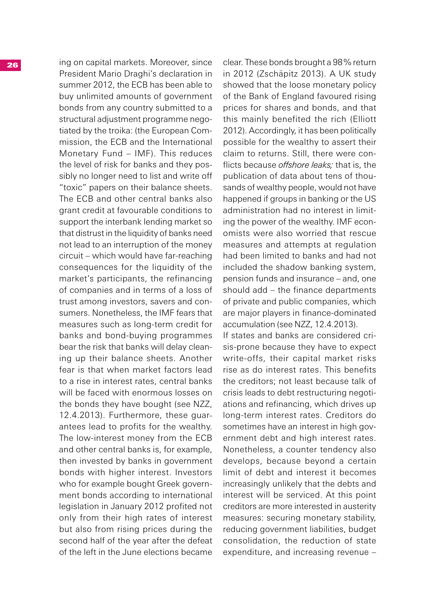**26** ing on capital markets. Moreover, since President Mario Draghi's declaration in summer 2012, the ECB has been able to buy unlimited amounts of government bonds from any country submitted to a structural adjustment programme negotiated by the troika: (the European Commission, the ECB and the International Monetary Fund – IMF). This reduces the level of risk for banks and they possibly no longer need to list and write off "toxic" papers on their balance sheets. The ECB and other central banks also grant credit at favourable conditions to support the interbank lending market so that distrust in the liquidity of banks need not lead to an interruption of the money circuit – which would have far-reaching consequences for the liquidity of the market's participants, the refinancing of companies and in terms of a loss of trust among investors, savers and consumers. Nonetheless, the IMF fears that measures such as long-term credit for banks and bond-buying programmes bear the risk that banks will delay cleaning up their balance sheets. Another fear is that when market factors lead to a rise in interest rates, central banks will be faced with enormous losses on the bonds they have bought (see NZZ, 12.4.2013). Furthermore, these guarantees lead to profits for the wealthy. The low-interest money from the ECB and other central banks is, for example, then invested by banks in government bonds with higher interest. Investors who for example bought Greek government bonds according to international legislation in January 2012 profited not only from their high rates of interest but also from rising prices during the second half of the year after the defeat of the left in the June elections became clear. These bonds brought a 98% return in 2012 (Zschäpitz 2013). A UK study showed that the loose monetary policy of the Bank of England favoured rising prices for shares and bonds, and that this mainly benefited the rich (Elliott 2012). Accordingly, it has been politically possible for the wealthy to assert their claim to returns. Still, there were conflicts because *offshore leaks;* that is, the publication of data about tens of thousands of wealthy people, would not have happened if groups in banking or the US administration had no interest in limiting the power of the wealthy. IMF economists were also worried that rescue measures and attempts at regulation had been limited to banks and had not included the shadow banking system, pension funds and insurance – and, one should add – the finance departments of private and public companies, which are major players in finance-dominated accumulation (see NZZ, 12.4.2013).

If states and banks are considered crisis-prone because they have to expect write-offs, their capital market risks rise as do interest rates. This benefits the creditors; not least because talk of crisis leads to debt restructuring negotiations and refinancing, which drives up long-term interest rates. Creditors do sometimes have an interest in high government debt and high interest rates. Nonetheless, a counter tendency also develops, because beyond a certain limit of debt and interest it becomes increasingly unlikely that the debts and interest will be serviced. At this point creditors are more interested in austerity measures: securing monetary stability, reducing government liabilities, budget consolidation, the reduction of state expenditure, and increasing revenue –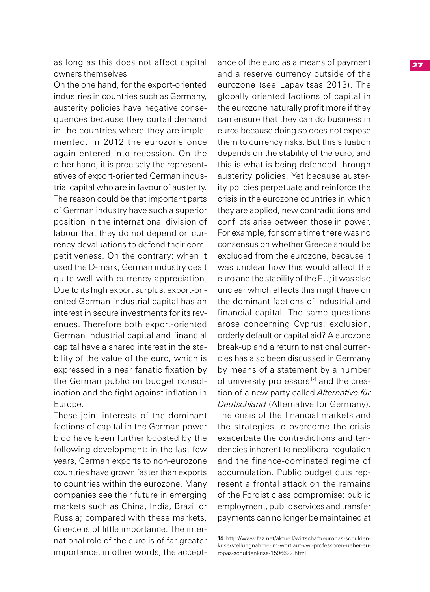as long as this does not affect capital owners themselves.

On the one hand, for the export-oriented industries in countries such as Germany, austerity policies have negative consequences because they curtail demand in the countries where they are implemented. In 2012 the eurozone once again entered into recession. On the other hand, it is precisely the representatives of export-oriented German industrial capital who are in favour of austerity. The reason could be that important parts of German industry have such a superior position in the international division of labour that they do not depend on currency devaluations to defend their competitiveness. On the contrary: when it used the D-mark, German industry dealt quite well with currency appreciation. Due to its high export surplus, export-oriented German industrial capital has an interest in secure investments for its revenues. Therefore both export-oriented German industrial capital and financial capital have a shared interest in the stability of the value of the euro, which is expressed in a near fanatic fixation by the German public on budget consolidation and the fight against inflation in Europe.

These joint interests of the dominant factions of capital in the German power bloc have been further boosted by the following development: in the last few years, German exports to non-eurozone countries have grown faster than exports to countries within the eurozone. Many companies see their future in emerging markets such as China, India, Brazil or Russia; compared with these markets, Greece is of little importance. The international role of the euro is of far greater importance, in other words, the acceptance of the euro as a means of payment and a reserve currency outside of the eurozone (see Lapavitsas 2013). The globally oriented factions of capital in the eurozone naturally profit more if they can ensure that they can do business in euros because doing so does not expose them to currency risks. But this situation depends on the stability of the euro, and this is what is being defended through austerity policies. Yet because austerity policies perpetuate and reinforce the crisis in the eurozone countries in which they are applied, new contradictions and conflicts arise between those in power. For example, for some time there was no consensus on whether Greece should be excluded from the eurozone, because it was unclear how this would affect the euro and the stability of the EU; it was also unclear which effects this might have on the dominant factions of industrial and financial capital. The same questions arose concerning Cyprus: exclusion, orderly default or capital aid? A eurozone break-up and a return to national currencies has also been discussed in Germany by means of a statement by a number of university professors<sup>14</sup> and the creation of a new party called *Alternative für Deutschland* (Alternative for Germany). The crisis of the financial markets and the strategies to overcome the crisis exacerbate the contradictions and tendencies inherent to neoliberal regulation and the finance-dominated regime of accumulation. Public budget cuts represent a frontal attack on the remains of the Fordist class compromise: public employment, public services and transfer payments can no longer be maintained at

**<sup>14</sup>** http://www.faz.net/aktuell/wirtschaft/europas-schuldenkrise/stellungnahme-im-wortlaut-vwl-professoren-ueber-europas-schuldenkrise-1596622.html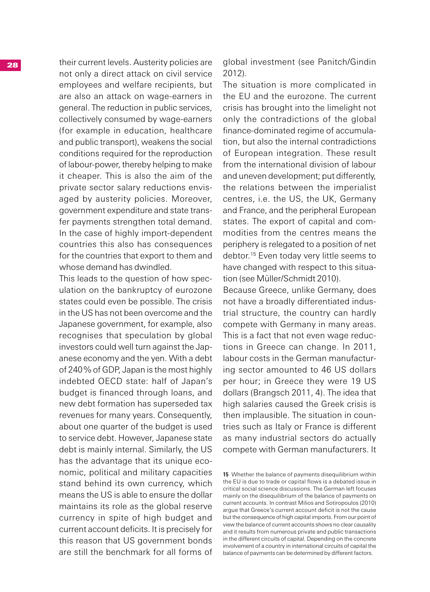28 their current levels. Austerity policies are not only a direct attack on civil service employees and welfare recipients, but are also an attack on wage-earners in general. The reduction in public services, collectively consumed by wage-earners (for example in education, healthcare and public transport), weakens the social conditions required for the reproduction of labour-power, thereby helping to make it cheaper. This is also the aim of the private sector salary reductions envisaged by austerity policies. Moreover, government expenditure and state transfer payments strengthen total demand. In the case of highly import-dependent countries this also has consequences for the countries that export to them and whose demand has dwindled.

> This leads to the question of how speculation on the bankruptcy of eurozone states could even be possible. The crisis in the US has not been overcome and the Japanese government, for example, also recognises that speculation by global investors could well turn against the Japanese economy and the yen. With a debt of 240% of GDP, Japan is the most highly indebted OECD state: half of Japan's budget is financed through loans, and new debt formation has superseded tax revenues for many years. Consequently, about one quarter of the budget is used to service debt. However, Japanese state debt is mainly internal. Similarly, the US has the advantage that its unique economic, political and military capacities stand behind its own currency, which means the US is able to ensure the dollar maintains its role as the global reserve currency in spite of high budget and current account deficits. It is precisely for this reason that US government bonds are still the benchmark for all forms of

global investment (see Panitch/Gindin 2012).

The situation is more complicated in the EU and the eurozone. The current crisis has brought into the limelight not only the contradictions of the global finance-dominated regime of accumulation, but also the internal contradictions of European integration. These result from the international division of labour and uneven development; put differently, the relations between the imperialist centres, i.e. the US, the UK, Germany and France, and the peripheral European states. The export of capital and commodities from the centres means the periphery is relegated to a position of net debtor.15 Even today very little seems to have changed with respect to this situation (see Müller/Schmidt 2010).

Because Greece, unlike Germany, does not have a broadly differentiated industrial structure, the country can hardly compete with Germany in many areas. This is a fact that not even wage reductions in Greece can change. In 2011, labour costs in the German manufacturing sector amounted to 46 US dollars per hour; in Greece they were 19 US dollars (Brangsch 2011, 4). The idea that high salaries caused the Greek crisis is then implausible. The situation in countries such as Italy or France is different as many industrial sectors do actually compete with German manufacturers. It

**<sup>15</sup>** Whether the balance of payments disequilibrium within the EU is due to trade or capital flows is a debated issue in critical social science discussions. The German left focuses mainly on the disequilibrium of the balance of payments on current accounts. In contrast Milios and Sotiropoulos (2010) argue that Greece's current account deficit is not the cause but the consequence of high capital imports. From our point of view the balance of current accounts shows no clear causality and it results from numerous private and public transactions in the different circuits of capital. Depending on the concrete involvement of a country in international circuits of capital the balance of payments can be determined by different factors.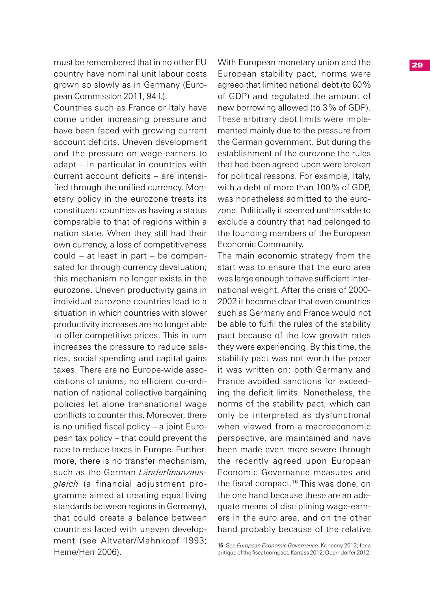must be remembered that in no other EU With European monetary union and the **29** country have nominal unit labour costs grown so slowly as in Germany (European Commission 2011, 94 f.).

Countries such as France or Italy have come under increasing pressure and have been faced with growing current account deficits. Uneven development and the pressure on wage-earners to adapt – in particular in countries with current account deficits – are intensified through the unified currency. Monetary policy in the eurozone treats its constituent countries as having a status comparable to that of regions within a nation state. When they still had their own currency, a loss of competitiveness could – at least in part – be compensated for through currency devaluation; this mechanism no longer exists in the eurozone. Uneven productivity gains in individual eurozone countries lead to a situation in which countries with slower productivity increases are no longer able to offer competitive prices. This in turn increases the pressure to reduce salaries, social spending and capital gains taxes. There are no Europe-wide associations of unions, no efficient co-ordination of national collective bargaining policies let alone transnational wage conflicts to counter this. Moreover, there is no unified fiscal policy – a joint European tax policy – that could prevent the race to reduce taxes in Europe. Furthermore, there is no transfer mechanism, such as the German *Länderfinanzausgleich* (a financial adjustment programme aimed at creating equal living standards between regions in Germany), that could create a balance between countries faced with uneven development (see Altvater/Mahnkopf 1993; Heine/Herr 2006).

European stability pact, norms were agreed that limited national debt (to 60% of GDP) and regulated the amount of new borrowing allowed (to 3% of GDP). These arbitrary debt limits were implemented mainly due to the pressure from the German government. But during the establishment of the eurozone the rules that had been agreed upon were broken for political reasons. For example, Italy, with a debt of more than 100% of GDP, was nonetheless admitted to the eurozone. Politically it seemed unthinkable to exclude a country that had belonged to the founding members of the European Economic Community.

The main economic strategy from the start was to ensure that the euro area was large enough to have sufficient international weight. After the crisis of 2000- 2002 it became clear that even countries such as Germany and France would not be able to fulfil the rules of the stability pact because of the low growth rates they were experiencing. By this time, the stability pact was not worth the paper it was written on: both Germany and France avoided sanctions for exceeding the deficit limits. Nonetheless, the norms of the stability pact, which can only be interpreted as dysfunctional when viewed from a macroeconomic perspective, are maintained and have been made even more severe through the recently agreed upon European Economic Governance measures and the fiscal compact.<sup>16</sup> This was done, on the one hand because these are an adequate means of disciplining wage-earners in the euro area, and on the other hand probably because of the relative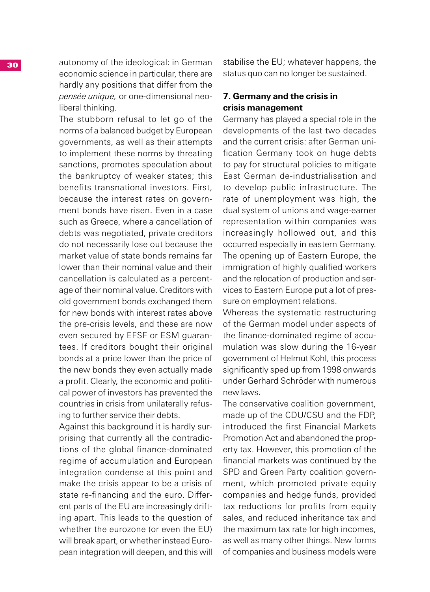30 **autonomy of the ideological: in German** economic science in particular, there are hardly any positions that differ from the *pensée unique,* or one-dimensional neoliberal thinking.

> The stubborn refusal to let go of the norms of a balanced budget by European governments, as well as their attempts to implement these norms by threating sanctions, promotes speculation about the bankruptcy of weaker states; this benefits transnational investors. First, because the interest rates on government bonds have risen. Even in a case such as Greece, where a cancellation of debts was negotiated, private creditors do not necessarily lose out because the market value of state bonds remains far lower than their nominal value and their cancellation is calculated as a percentage of their nominal value. Creditors with old government bonds exchanged them for new bonds with interest rates above the pre-crisis levels, and these are now even secured by EFSF or ESM guarantees. If creditors bought their original bonds at a price lower than the price of the new bonds they even actually made a profit. Clearly, the economic and political power of investors has prevented the countries in crisis from unilaterally refusing to further service their debts.

> Against this background it is hardly surprising that currently all the contradictions of the global finance-dominated regime of accumulation and European integration condense at this point and make the crisis appear to be a crisis of state re-financing and the euro. Different parts of the EU are increasingly drifting apart. This leads to the question of whether the eurozone (or even the EU) will break apart, or whether instead European integration will deepen, and this will

stabilise the EU; whatever happens, the status quo can no longer be sustained.

#### **7. Germany and the crisis in crisis management**

Germany has played a special role in the developments of the last two decades and the current crisis: after German unification Germany took on huge debts to pay for structural policies to mitigate East German de-industrialisation and to develop public infrastructure. The rate of unemployment was high, the dual system of unions and wage-earner representation within companies was increasingly hollowed out, and this occurred especially in eastern Germany. The opening up of Eastern Europe, the immigration of highly qualified workers and the relocation of production and services to Eastern Europe put a lot of pressure on employment relations.

Whereas the systematic restructuring of the German model under aspects of the finance-dominated regime of accumulation was slow during the 16-year government of Helmut Kohl, this process significantly sped up from 1998 onwards under Gerhard Schröder with numerous new laws.

The conservative coalition government, made up of the CDU/CSU and the FDP, introduced the first Financial Markets Promotion Act and abandoned the property tax. However, this promotion of the financial markets was continued by the SPD and Green Party coalition government, which promoted private equity companies and hedge funds, provided tax reductions for profits from equity sales, and reduced inheritance tax and the maximum tax rate for high incomes, as well as many other things. New forms of companies and business models were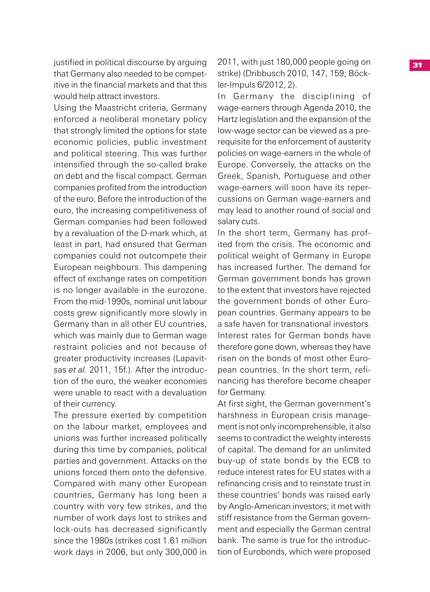that Germany also needed to be competitive in the financial markets and that this would help attract investors.

Using the Maastricht criteria, Germany enforced a neoliberal monetary policy that strongly limited the options for state economic policies, public investment and political steering. This was further intensified through the so-called brake on debt and the fiscal compact. German companies profited from the introduction of the euro. Before the introduction of the euro, the increasing competitiveness of German companies had been followed by a revaluation of the D-mark which, at least in part, had ensured that German companies could not outcompete their European neighbours. This dampening effect of exchange rates on competition is no longer available in the eurozone. From the mid-1990s, nominal unit labour costs grew significantly more slowly in Germany than in all other EU countries, which was mainly due to German wage restraint policies and not because of greater productivity increases (Lapavitsas *et al.* 2011, 15f.). After the introduction of the euro, the weaker economies were unable to react with a devaluation of their currency.

The pressure exerted by competition on the labour market, employees and unions was further increased politically during this time by companies, political parties and government. Attacks on the unions forced them onto the defensive. Compared with many other European countries, Germany has long been a country with very few strikes, and the number of work days lost to strikes and lock-outs has decreased significantly since the 1980s (strikes cost 1.61 million work days in 2006, but only 300,000 in

justified in political discourse by arguing 2011, with just 180,000 people going on 2011, with just 180,000 people going on strike) (Dribbusch 2010, 147, 159; Böckler-Impuls 6/2012, 2).

> In Germany the disciplining of wage-earners through Agenda 2010, the Hartz legislation and the expansion of the low-wage sector can be viewed as a prerequisite for the enforcement of austerity policies on wage-earners in the whole of Europe. Conversely, the attacks on the Greek, Spanish, Portuguese and other wage-earners will soon have its repercussions on German wage-earners and may lead to another round of social and salary cuts.

> In the short term, Germany has profited from the crisis. The economic and political weight of Germany in Europe has increased further. The demand for German government bonds has grown to the extent that investors have rejected the government bonds of other European countries. Germany appears to be a safe haven for transnational investors. Interest rates for German bonds have therefore gone down, whereas they have risen on the bonds of most other European countries. In the short term, refinancing has therefore become cheaper for Germany.

> At first sight, the German government's harshness in European crisis management is not only incomprehensible, it also seems to contradict the weighty interests of capital. The demand for an unlimited buy-up of state bonds by the ECB to reduce interest rates for EU states with a refinancing crisis and to reinstate trust in these countries' bonds was raised early by Anglo-American investors; it met with stiff resistance from the German government and especially the German central bank. The same is true for the introduction of Eurobonds, which were proposed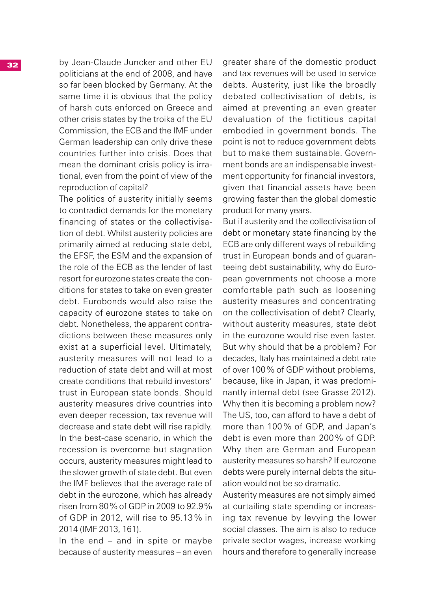32 by Jean-Claude Juncker and other EU politicians at the end of 2008, and have so far been blocked by Germany. At the same time it is obvious that the policy of harsh cuts enforced on Greece and other crisis states by the troika of the EU Commission, the ECB and the IMF under German leadership can only drive these countries further into crisis. Does that mean the dominant crisis policy is irrational, even from the point of view of the reproduction of capital?

> The politics of austerity initially seems to contradict demands for the monetary financing of states or the collectivisation of debt. Whilst austerity policies are primarily aimed at reducing state debt, the EFSF, the ESM and the expansion of the role of the ECB as the lender of last resort for eurozone states create the conditions for states to take on even greater debt. Eurobonds would also raise the capacity of eurozone states to take on debt. Nonetheless, the apparent contradictions between these measures only exist at a superficial level. Ultimately, austerity measures will not lead to a reduction of state debt and will at most create conditions that rebuild investors' trust in European state bonds. Should austerity measures drive countries into even deeper recession, tax revenue will decrease and state debt will rise rapidly. In the best-case scenario, in which the recession is overcome but stagnation occurs, austerity measures might lead to the slower growth of state debt. But even the IMF believes that the average rate of debt in the eurozone, which has already risen from 80% of GDP in 2009 to 92.9% of GDP in 2012, will rise to 95.13 % in 2014 (IMF 2013, 161).

> In the end – and in spite or maybe because of austerity measures – an even

greater share of the domestic product and tax revenues will be used to service debts. Austerity, just like the broadly debated collectivisation of debts, is aimed at preventing an even greater devaluation of the fictitious capital embodied in government bonds. The point is not to reduce government debts but to make them sustainable. Government bonds are an indispensable investment opportunity for financial investors, given that financial assets have been growing faster than the global domestic product for many years.

But if austerity and the collectivisation of debt or monetary state financing by the ECB are only different ways of rebuilding trust in European bonds and of guaranteeing debt sustainability, why do European governments not choose a more comfortable path such as loosening austerity measures and concentrating on the collectivisation of debt? Clearly, without austerity measures, state debt in the eurozone would rise even faster. But why should that be a problem? For decades, Italy has maintained a debt rate of over 100% of GDP without problems, because, like in Japan, it was predominantly internal debt (see Grasse 2012). Why then it is becoming a problem now? The US, too, can afford to have a debt of more than 100 % of GDP, and Japan's debt is even more than 200 % of GDP. Why then are German and European austerity measures so harsh? If eurozone debts were purely internal debts the situation would not be so dramatic.

Austerity measures are not simply aimed at curtailing state spending or increasing tax revenue by levying the lower social classes. The aim is also to reduce private sector wages, increase working hours and therefore to generally increase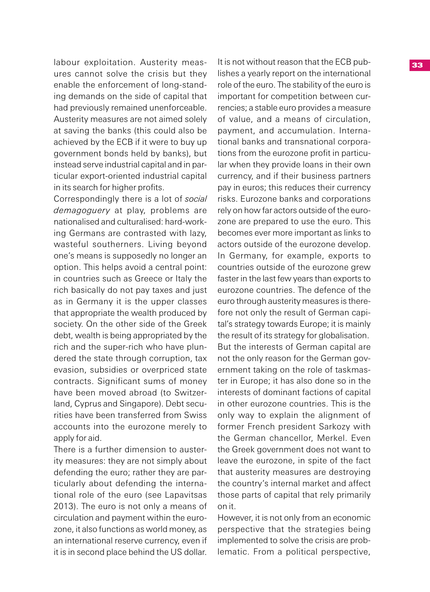labour exploitation. Austerity meas- It is not without reason that the ECB pub-**33** ures cannot solve the crisis but they enable the enforcement of long-standing demands on the side of capital that had previously remained unenforceable. Austerity measures are not aimed solely at saving the banks (this could also be achieved by the ECB if it were to buy up government bonds held by banks), but instead serve industrial capital and in particular export-oriented industrial capital in its search for higher profits.

Correspondingly there is a lot of *social demagoguery* at play, problems are nationalised and culturalised: hard-working Germans are contrasted with lazy, wasteful southerners. Living beyond one's means is supposedly no longer an option. This helps avoid a central point: in countries such as Greece or Italy the rich basically do not pay taxes and just as in Germany it is the upper classes that appropriate the wealth produced by society. On the other side of the Greek debt, wealth is being appropriated by the rich and the super-rich who have plundered the state through corruption, tax evasion, subsidies or overpriced state contracts. Significant sums of money have been moved abroad (to Switzerland, Cyprus and Singapore). Debt securities have been transferred from Swiss accounts into the eurozone merely to apply for aid.

There is a further dimension to austerity measures: they are not simply about defending the euro; rather they are particularly about defending the international role of the euro (see Lapavitsas 2013). The euro is not only a means of circulation and payment within the eurozone, it also functions as world money, as an international reserve currency, even if it is in second place behind the US dollar.

lishes a yearly report on the international role of the euro. The stability of the euro is important for competition between currencies; a stable euro provides a measure of value, and a means of circulation, payment, and accumulation. International banks and transnational corporations from the eurozone profit in particular when they provide loans in their own currency, and if their business partners pay in euros; this reduces their currency risks. Eurozone banks and corporations rely on how far actors outside of the eurozone are prepared to use the euro. This becomes ever more important as links to actors outside of the eurozone develop. In Germany, for example, exports to countries outside of the eurozone grew faster in the last few years than exports to eurozone countries. The defence of the euro through austerity measures is therefore not only the result of German capital's strategy towards Europe; it is mainly the result of its strategy for globalisation. But the interests of German capital are not the only reason for the German government taking on the role of taskmaster in Europe; it has also done so in the interests of dominant factions of capital in other eurozone countries. This is the only way to explain the alignment of former French president Sarkozy with the German chancellor, Merkel. Even the Greek government does not want to leave the eurozone, in spite of the fact that austerity measures are destroying the country's internal market and affect those parts of capital that rely primarily on it.

However, it is not only from an economic perspective that the strategies being implemented to solve the crisis are problematic. From a political perspective,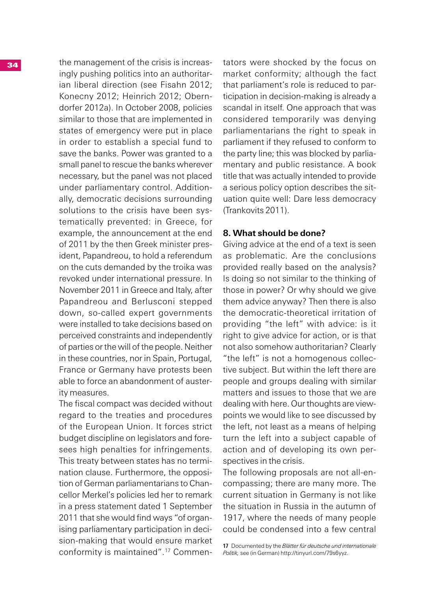**34** the management of the crisis is increasingly pushing politics into an authoritarian liberal direction (see Fisahn 2012; Konecny 2012; Heinrich 2012; Oberndorfer 2012a). In October 2008, policies similar to those that are implemented in states of emergency were put in place in order to establish a special fund to save the banks. Power was granted to a small panel to rescue the banks wherever necessary, but the panel was not placed under parliamentary control. Additionally, democratic decisions surrounding solutions to the crisis have been systematically prevented: in Greece, for example, the announcement at the end of 2011 by the then Greek minister president, Papandreou, to hold a referendum on the cuts demanded by the troika was revoked under international pressure. In November 2011 in Greece and Italy, after Papandreou and Berlusconi stepped down, so-called expert governments were installed to take decisions based on perceived constraints and independently of parties or the will of the people. Neither in these countries, nor in Spain, Portugal, France or Germany have protests been able to force an abandonment of austerity measures.

> The fiscal compact was decided without regard to the treaties and procedures of the European Union. It forces strict budget discipline on legislators and foresees high penalties for infringements. This treaty between states has no termination clause. Furthermore, the opposition of German parliamentarians to Chancellor Merkel's policies led her to remark in a press statement dated 1 September 2011 that she would find ways "of organising parliamentary participation in decision-making that would ensure market conformity is maintained".17 Commen

tators were shocked by the focus on market conformity; although the fact that parliament's role is reduced to participation in decision-making is already a scandal in itself. One approach that was considered temporarily was denying parliamentarians the right to speak in parliament if they refused to conform to the party line; this was blocked by parliamentary and public resistance. A book title that was actually intended to provide a serious policy option describes the situation quite well: Dare less democracy (Trankovits 2011).

#### **8. What should be done?**

Giving advice at the end of a text is seen as problematic. Are the conclusions provided really based on the analysis? Is doing so not similar to the thinking of those in power? Or why should we give them advice anyway? Then there is also the democratic-theoretical irritation of providing "the left" with advice: is it right to give advice for action, or is that not also somehow authoritarian? Clearly "the left" is not a homogenous collective subject. But within the left there are people and groups dealing with similar matters and issues to those that we are dealing with here. Our thoughts are viewpoints we would like to see discussed by the left, not least as a means of helping turn the left into a subject capable of action and of developing its own perspectives in the crisis.

The following proposals are not all-encompassing; there are many more. The current situation in Germany is not like the situation in Russia in the autumn of 1917, where the needs of many people could be condensed into a few central

**<sup>17</sup>** Documented by the *Blätter für deutsche und internationale Politik,* see (in German) http://tinyurl.com/79s6yyz.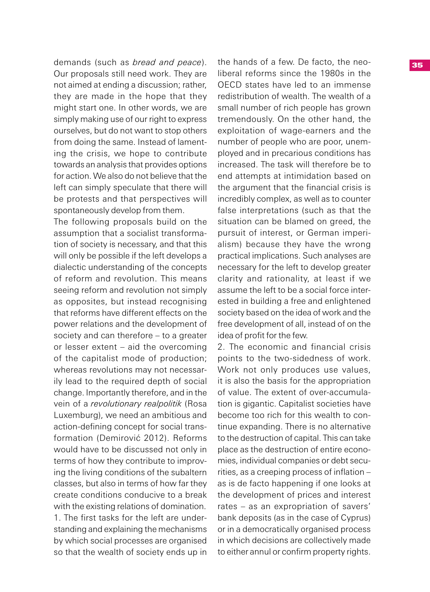demands (such as *bread and peace*). the hands of a few. De facto, the neo-**85** Our proposals still need work. They are not aimed at ending a discussion; rather, they are made in the hope that they might start one. In other words, we are simply making use of our right to express ourselves, but do not want to stop others from doing the same. Instead of lamenting the crisis, we hope to contribute towards an analysis that provides options for action. We also do not believe that the left can simply speculate that there will be protests and that perspectives will spontaneously develop from them.

The following proposals build on the assumption that a socialist transformation of society is necessary, and that this will only be possible if the left develops a dialectic understanding of the concepts of reform and revolution. This means seeing reform and revolution not simply as opposites, but instead recognising that reforms have different effects on the power relations and the development of society and can therefore – to a greater or lesser extent – aid the overcoming of the capitalist mode of production; whereas revolutions may not necessarily lead to the required depth of social change. Importantly therefore, and in the vein of a *revolutionary realpolitik* (Rosa Luxemburg), we need an ambitious and action-defining concept for social transformation (Demirović 2012). Reforms would have to be discussed not only in terms of how they contribute to improving the living conditions of the subaltern classes, but also in terms of how far they create conditions conducive to a break with the existing relations of domination.

1. The first tasks for the left are understanding and explaining the mechanisms by which social processes are organised so that the wealth of society ends up in

liberal reforms since the 1980s in the OECD states have led to an immense redistribution of wealth. The wealth of a small number of rich people has grown tremendously. On the other hand, the exploitation of wage-earners and the number of people who are poor, unemployed and in precarious conditions has increased. The task will therefore be to end attempts at intimidation based on the argument that the financial crisis is incredibly complex, as well as to counter false interpretations (such as that the situation can be blamed on greed, the pursuit of interest, or German imperialism) because they have the wrong practical implications. Such analyses are necessary for the left to develop greater clarity and rationality, at least if we assume the left to be a social force interested in building a free and enlightened society based on the idea of work and the free development of all, instead of on the idea of profit for the few.

2. The economic and financial crisis points to the two-sidedness of work. Work not only produces use values. it is also the basis for the appropriation of value. The extent of over-accumulation is gigantic. Capitalist societies have become too rich for this wealth to continue expanding. There is no alternative to the destruction of capital. This can take place as the destruction of entire economies, individual companies or debt securities, as a creeping process of inflation – as is de facto happening if one looks at the development of prices and interest rates – as an expropriation of savers' bank deposits (as in the case of Cyprus) or in a democratically organised process in which decisions are collectively made to either annul or confirm property rights.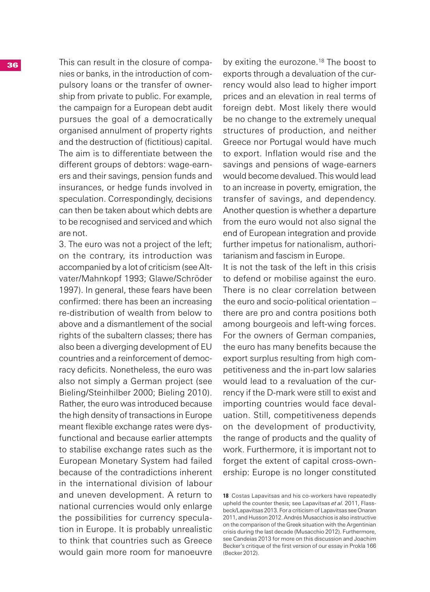**36** This can result in the closure of companies or banks, in the introduction of compulsory loans or the transfer of ownership from private to public. For example, the campaign for a European debt audit pursues the goal of a democratically organised annulment of property rights and the destruction of (fictitious) capital. The aim is to differentiate between the different groups of debtors: wage-earners and their savings, pension funds and insurances, or hedge funds involved in speculation. Correspondingly, decisions can then be taken about which debts are to be recognised and serviced and which are not.

> 3. The euro was not a project of the left; on the contrary, its introduction was accompanied by a lot of criticism (seeAltvater/Mahnkopf 1993; Glawe/Schröder 1997). In general, these fears have been confirmed: there has been an increasing re-distribution of wealth from below to above and a dismantlement of the social rights of the subaltern classes; there has also been a diverging development of EU countries and a reinforcement of democracy deficits. Nonetheless, the euro was also not simply a German project (see Bieling/Steinhilber 2000; Bieling 2010). Rather, the euro was introduced because the high density of transactions in Europe meant flexible exchange rates were dysfunctional and because earlier attempts to stabilise exchange rates such as the European Monetary System had failed because of the contradictions inherent in the international division of labour and uneven development. A return to national currencies would only enlarge the possibilities for currency speculation in Europe. It is probably unrealistic to think that countries such as Greece would gain more room for manoeuvre

by exiting the eurozone.<sup>18</sup> The boost to exports through a devaluation of the currency would also lead to higher import prices and an elevation in real terms of foreign debt. Most likely there would be no change to the extremely unequal structures of production, and neither Greece nor Portugal would have much to export. Inflation would rise and the savings and pensions of wage-earners would become devalued. This would lead to an increase in poverty, emigration, the transfer of savings, and dependency. Another question is whether a departure from the euro would not also signal the end of European integration and provide further impetus for nationalism, authoritarianism and fascism in Europe.

It is not the task of the left in this crisis to defend or mobilise against the euro. There is no clear correlation between the euro and socio-political orientation – there are pro and contra positions both among bourgeois and left-wing forces. For the owners of German companies, the euro has many benefits because the export surplus resulting from high competitiveness and the in-part low salaries would lead to a revaluation of the currency if the D-mark were still to exist and importing countries would face devaluation. Still, competitiveness depends on the development of productivity, the range of products and the quality of work. Furthermore, it is important not to forget the extent of capital cross-ownership: Europe is no longer constituted

**<sup>18</sup>** Costas Lapavitsas and his co-workers have repeatedly upheld the counter thesis; see Lapavitsas *et al.* 2011, Flassbeck/Lapavitsas 2013. For a criticism of Lapavitsas see Onaran 2011, and Husson 2012.Andrés Musacchios is also instructive on the comparison of the Greek situation with the Argentinian crisis during the last decade (Musacchio 2012). Furthermore, see Candeias 2013 for more on this discussion and Joachim Becker's critique of the first version of our essay in Prokla 166 (Becker 2012).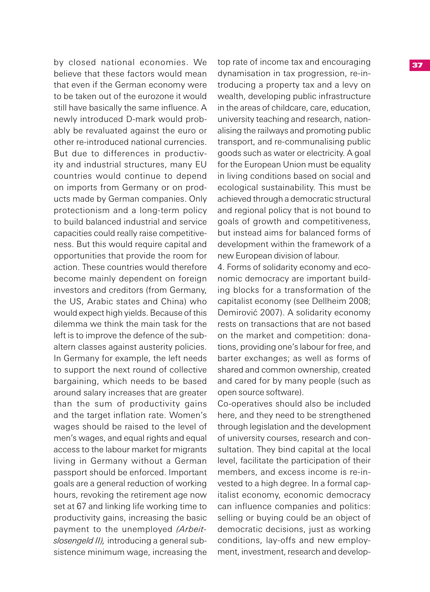believe that these factors would mean that even if the German economy were to be taken out of the eurozone it would still have basically the same influence. A newly introduced D-mark would probably be revaluated against the euro or other re-introduced national currencies. But due to differences in productivity and industrial structures, many EU countries would continue to depend on imports from Germany or on products made by German companies. Only protectionism and a long-term policy to build balanced industrial and service capacities could really raise competitiveness. But this would require capital and opportunities that provide the room for action. These countries would therefore become mainly dependent on foreign investors and creditors (from Germany, the US, Arabic states and China) who would expect high yields. Because of this dilemma we think the main task for the left is to improve the defence of the subaltern classes against austerity policies. In Germany for example, the left needs to support the next round of collective bargaining, which needs to be based around salary increases that are greater than the sum of productivity gains and the target inflation rate. Women's wages should be raised to the level of men's wages, and equal rights and equal access to the labour market for migrants living in Germany without a German passport should be enforced. Important goals are a general reduction of working hours, revoking the retirement age now set at 67 and linking life working time to productivity gains, increasing the basic payment to the unemployed *(Arbeitslosengeld II),* introducing a general subsistence minimum wage, increasing the

by closed national economies. We top rate of income tax and encouraging **37** dynamisation in tax progression, re-introducing a property tax and a levy on wealth, developing public infrastructure in the areas of childcare, care, education, university teaching and research, nationalising the railways and promoting public transport, and re-communalising public goods such as water or electricity. A goal for the European Union must be equality in living conditions based on social and ecological sustainability. This must be achieved through a democratic structural and regional policy that is not bound to goals of growth and competitiveness, but instead aims for balanced forms of development within the framework of a new European division of labour.

> 4. Forms of solidarity economy and economic democracy are important building blocks for a transformation of the capitalist economy (see Dellheim 2008; Demirović 2007). A solidarity economy rests on transactions that are not based on the market and competition: donations, providing one's labour for free, and barter exchanges; as well as forms of shared and common ownership, created and cared for by many people (such as open source software).

> Co-operatives should also be included here, and they need to be strengthened through legislation and the development of university courses, research and consultation. They bind capital at the local level, facilitate the participation of their members, and excess income is re-invested to a high degree. In a formal capitalist economy, economic democracy can influence companies and politics: selling or buying could be an object of democratic decisions, just as working conditions, lay-offs and new employment, investment, research and develop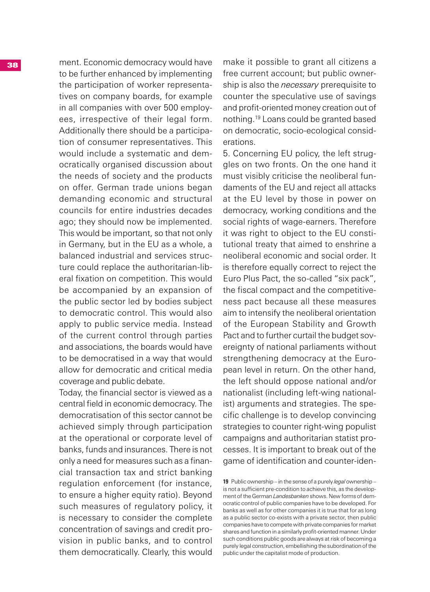38 ment. Economic democracy would have to be further enhanced by implementing the participation of worker representatives on company boards, for example in all companies with over 500 employees, irrespective of their legal form. Additionally there should be a participation of consumer representatives. This would include a systematic and democratically organised discussion about the needs of society and the products on offer. German trade unions began demanding economic and structural councils for entire industries decades ago; they should now be implemented. This would be important, so that not only in Germany, but in the EU as a whole, a balanced industrial and services structure could replace the authoritarian-liberal fixation on competition. This would be accompanied by an expansion of the public sector led by bodies subject to democratic control. This would also apply to public service media. Instead of the current control through parties and associations, the boards would have to be democratised in a way that would allow for democratic and critical media coverage and public debate.

> Today, the financial sector is viewed as a central field in economic democracy. The democratisation of this sector cannot be achieved simply through participation at the operational or corporate level of banks, funds and insurances. There is not only a need for measures such as a financial transaction tax and strict banking regulation enforcement (for instance, to ensure a higher equity ratio). Beyond such measures of regulatory policy, it is necessary to consider the complete concentration of savings and credit provision in public banks, and to control them democratically. Clearly, this would

make it possible to grant all citizens a free current account; but public ownership is also the *necessary* prerequisite to counter the speculative use of savings and profit-oriented money creation out of nothing.19 Loans could be granted based on democratic, socio-ecological considerations.

5. Concerning EU policy, the left struggles on two fronts. On the one hand it must visibly criticise the neoliberal fundaments of the EU and reject all attacks at the EU level by those in power on democracy, working conditions and the social rights of wage-earners. Therefore it was right to object to the EU constitutional treaty that aimed to enshrine a neoliberal economic and social order. It is therefore equally correct to reject the Euro Plus Pact, the so-called "six pack", the fiscal compact and the competitiveness pact because all these measures aim to intensify the neoliberal orientation of the European Stability and Growth Pact and to further curtail the budget sovereignty of national parliaments without strengthening democracy at the European level in return. On the other hand, the left should oppose national and/or nationalist (including left-wing nationalist) arguments and strategies. The specific challenge is to develop convincing strategies to counter right-wing populist campaigns and authoritarian statist processes. It is important to break out of the game of identification and counter-iden-

**<sup>19</sup>** Public ownership – in the sense of a purely *legal* ownership – is not a sufficient pre-condition to achieve this, as the development of the German *Landesbanken* shows. New forms of democratic control of public companies have to be developed. For banks as well as for other companies it is true that for as long as a public sector co-exists with a private sector, then public companies have to compete with private companies for market shares and function in a similarly profit-oriented manner. Under such conditions public goods are always at risk of becoming a purely legal construction, embellishing the subordination of the public under the capitalist mode of production.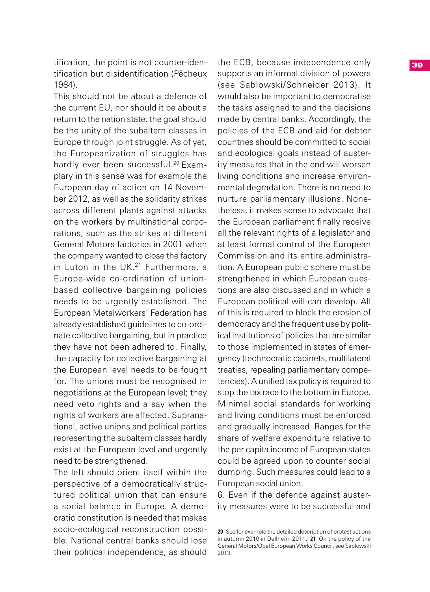tification; the point is not counter-iden- the ECB, because independence only **39** tification but disidentification (Pêcheux 1984).

This should not be about a defence of the current EU, nor should it be about a return to the nation state: the goal should be the unity of the subaltern classes in Europe through joint struggle. As of yet, the Europeanization of struggles has hardly ever been successful.<sup>20</sup> Exemplary in this sense was for example the European day of action on 14 November 2012, as well as the solidarity strikes across different plants against attacks on the workers by multinational corporations, such as the strikes at different General Motors factories in 2001 when the company wanted to close the factory in Luton in the  $UK.<sup>21</sup>$  Furthermore, a Europe-wide co-ordination of unionbased collective bargaining policies needs to be urgently established. The European Metalworkers' Federation has already established guidelines to co-ordinate collective bargaining, but in practice they have not been adhered to. Finally, the capacity for collective bargaining at the European level needs to be fought for. The unions must be recognised in negotiations at the European level; they need veto rights and a say when the rights of workers are affected. Supranational, active unions and political parties representing the subaltern classes hardly exist at the European level and urgently need to be strengthened.

The left should orient itself within the perspective of a democratically structured political union that can ensure a social balance in Europe. A democratic constitution is needed that makes socio-ecological reconstruction possible. National central banks should lose their political independence, as should supports an informal division of powers (see Sablowski/Schneider 2013). It would also be important to democratise the tasks assigned to and the decisions made by central banks. Accordingly, the policies of the ECB and aid for debtor countries should be committed to social and ecological goals instead of austerity measures that in the end will worsen living conditions and increase environmental degradation. There is no need to nurture parliamentary illusions. Nonetheless, it makes sense to advocate that the European parliament finally receive all the relevant rights of a legislator and at least formal control of the European Commission and its entire administration. A European public sphere must be strengthened in which European questions are also discussed and in which a European political will can develop. All of this is required to block the erosion of democracy and the frequent use by political institutions of policies that are similar to those implemented in states of emergency (technocratic cabinets, multilateral treaties, repealing parliamentary competencies).A unified tax policy is required to stop the tax race to the bottom in Europe. Minimal social standards for working and living conditions must be enforced and gradually increased. Ranges for the share of welfare expenditure relative to the per capita income of European states could be agreed upon to counter social dumping. Such measures could lead to a European social union.

6. Even if the defence against austerity measures were to be successful and

**<sup>20</sup>** See for example the detailed description of protest actions in autumn 2010 in Dellheim 2011. **21** On the policy of the General Motors/Opel European Works Council, see Sablowski 2013.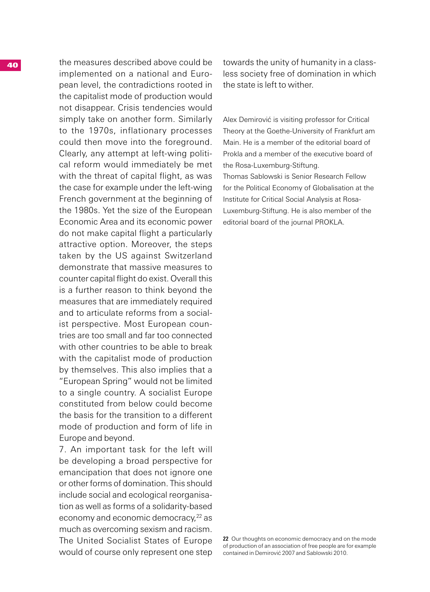**40** the measures described above could be implemented on a national and European level, the contradictions rooted in the capitalist mode of production would not disappear. Crisis tendencies would simply take on another form. Similarly to the 1970s, inflationary processes could then move into the foreground. Clearly, any attempt at left-wing political reform would immediately be met with the threat of capital flight, as was the case for example under the left-wing French government at the beginning of the 1980s. Yet the size of the European Economic Area and its economic power do not make capital flight a particularly attractive option. Moreover, the steps taken by the US against Switzerland demonstrate that massive measures to counter capital flight do exist. Overall this is a further reason to think beyond the measures that are immediately required and to articulate reforms from a socialist perspective. Most European countries are too small and far too connected with other countries to be able to break with the capitalist mode of production by themselves. This also implies that a "European Spring" would not be limited to a single country. A socialist Europe constituted from below could become the basis for the transition to a different mode of production and form of life in Europe and beyond.

> 7. An important task for the left will be developing a broad perspective for emancipation that does not ignore one or other forms of domination. This should include social and ecological reorganisation as well as forms of a solidarity-based economy and economic democracy,<sup>22</sup> as much as overcoming sexism and racism. The United Socialist States of Europe would of course only represent one step

towards the unity of humanity in a classless society free of domination in which the state is left to wither.

Alex Demirović is visiting professor for Critical Theory at the Goethe-University of Frankfurt am Main. He is a member of the editorial board of Prokla and a member of the executive board of the Rosa-Luxemburg-Stiftung. Thomas Sablowski is Senior Research Fellow for the Political Economy of Globalisation at the Institute for Critical Social Analysis at Rosa-Luxemburg-Stiftung. He is also member of the editorial board of the journal PROKLA.

**22** Our thoughts on economic democracy and on the mode of production of an association of free people are for example contained in Demirović 2007 and Sablowski 2010.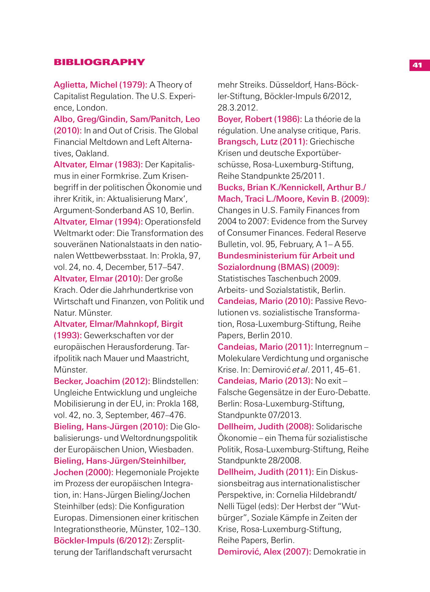#### B iBLIOGRAPHY **And in the set of the set of the set of the set of the set of the set of the set of the set of the set of the set of the set of the set of the set of the set of the set of the set of the set of the set of th**

Aglietta, Michel (1979): A Theory of Capitalist Regulation. The U.S. Experience, London.

Albo, Greg/Gindin, Sam/Panitch, Leo (2010): In and Out of Crisis. The Global Financial Meltdown and Left Alternatives, Oakland.

Altvater, Elmar (1983): Der Kapitalismus in einer Formkrise. Zum Krisenbegriff in der politischen Ökonomie und ihrer Kritik, in: Aktualisierung Marx', Argument-Sonderband AS 10, Berlin.

Altvater, Elmar (1994): Operationsfeld Weltmarkt oder: Die Transformation des souveränen Nationalstaats in den nationalen Wettbewerbsstaat. In: Prokla, 97, vol. 24, no. 4, December, 517–547. Altvater, Elmar (2010): Der große Krach. Oder die Jahrhundertkrise von Wirtschaft und Finanzen, von Politik und

Natur. Münster. Altvater, Elmar/Mahnkopf, Birgit

(1993): Gewerkschaften vor der europäischen Herausforderung. Tarifpolitik nach Mauer und Maastricht, Münster.

Becker, Joachim (2012): Blindstellen: Ungleiche Entwicklung und ungleiche Mobilisierung in der EU, in: Prokla 168, vol. 42, no. 3, September, 467–476. Bieling, Hans-Jürgen (2010): Die Globalisierungs- und Weltordnungspolitik der Europäischen Union, Wiesbaden. Bieling, Hans-Jürgen/Steinhilber, Jochen (2000): Hegemoniale Projekte im Prozess der europäischen Integration, in: Hans-Jürgen Bieling/Jochen Steinhilber (eds): Die Konfiguration Europas. Dimensionen einer kritischen Integrationstheorie, Münster, 102–130. Böckler-Impuls (6/2012): Zersplitterung der Tariflandschaft verursacht

mehr Streiks. Düsseldorf, Hans-Böckler-Stiftung, Böckler-Impuls 6/2012, 28.3.2012.

Boyer, Robert (1986): La théorie de la régulation. Une analyse critique, Paris. Brangsch, Lutz (2011): Griechische Krisen und deutsche Exportüberschüsse, Rosa-Luxemburg-Stiftung, Reihe Standpunkte 25/2011.

Bucks, Brian K./Kennickell, Arthur B./ Mach, Traci L./Moore, Kevin B. (2009):

Changes in U.S. Family Finances from 2004 to 2007: Evidence from the Survey of Consumer Finances. Federal Reserve Bulletin, vol. 95, February, A 1– A 55. Bundesministerium für Arbeit und Sozialordnung (BMAS) (2009):

Statistisches Taschenbuch 2009. Arbeits- und Sozialstatistik, Berlin. Candeias, Mario (2010): Passive Revolutionen vs. sozialistische Transformation, Rosa-Luxemburg-Stiftung, Reihe Papers, Berlin 2010.

Candeias, Mario (2011): Interregnum – Molekulare Verdichtung und organische Krise. In: Demirović *et al*. 2011, 45–61. Candeias, Mario (2013): No exit –

Falsche Gegensätze in der Euro-Debatte. Berlin: Rosa-Luxemburg-Stiftung, Standpunkte 07/2013.

Dellheim, Judith (2008): Solidarische Ökonomie – ein Thema für sozialistische Politik, Rosa-Luxemburg-Stiftung, Reihe Standpunkte 28/2008.

Dellheim, Judith (2011): Ein Diskussionsbeitrag aus internationalistischer Perspektive, in: Cornelia Hildebrandt/ Nelli Tügel (eds): Der Herbst der "Wutbürger", Soziale Kämpfe in Zeiten der Krise, Rosa-Luxemburg-Stiftung, Reihe Papers, Berlin.

Demirović, Alex (2007): Demokratie in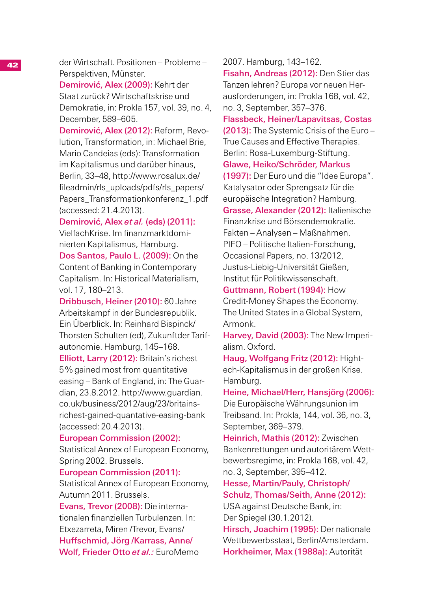<sup>42</sup> der Wirtschaft. Positionen – Probleme – Perspektiven, Münster.

> Demirović, Alex (2009): Kehrt der Staat zurück? Wirtschaftskrise und Demokratie, in: Prokla 157, vol. 39, no. 4, December, 589–605.

> Demirović, Alex (2012): Reform, Revolution, Transformation, in: Michael Brie, Mario Candeias (eds): Transformation im Kapitalismus und darüber hinaus, Berlin, 33–48, http://www.rosalux.de/ fileadmin/rls\_uploads/pdfs/rls\_papers/ Papers\_Transformationkonferenz\_1.pdf (accessed: 21.4.2013).

Demirović, Alex *et al.* (eds) (2011): VielfachKrise. Im finanzmarktdominierten Kapitalismus, Hamburg. Dos Santos, Paulo L. (2009): On the Content of Banking in Contemporary Capitalism. In: Historical Materialism, vol. 17, 180–213.

Dribbusch, Heiner (2010): 60 Jahre Arbeitskampf in der Bundesrepublik. Ein Überblick. In: Reinhard Bispinck/ Thorsten Schulten (ed), Zukunftder Tarifautonomie. Hamburg, 145–168. Elliott, Larry (2012): Britain's richest 5% gained most from quantitative easing – Bank of England, in: The Guardian, 23.8.2012. http://www.guardian. co.uk/business/2012/aug/23/britainsrichest-gained-quantative-easing-bank (accessed: 20.4.2013).

European Commission (2002): Statistical Annex of European Economy, Spring 2002. Brussels.

European Commission (2011): Statistical Annex of European Economy, Autumn 2011. Brussels.

Evans, Trevor (2008): Die internationalen finanziellen Turbulenzen. In: Etxezarreta, Miren /Trevor, Evans/ Huffschmid, Jörg /Karrass, Anne/ Wolf, Frieder Otto *et al.:* EuroMemo 2007. Hamburg, 143–162. Fisahn, Andreas (2012): Den Stier das Tanzen lehren? Europa vor neuen Herausforderungen, in: Prokla 168, vol. 42, no. 3, September, 357–376.

Flassbeck, Heiner/Lapavitsas, Costas (2013): The Systemic Crisis of the Euro – True Causes and Effective Therapies. Berlin: Rosa-Luxemburg-Stiftung. Glawe, Heiko/Schröder, Markus (1997): Der Euro und die "Idee Europa". Katalysator oder Sprengsatz für die europäische Integration? Hamburg. Grasse, Alexander (2012): Italienische Finanzkrise und Börsendemokratie. Fakten – Analysen – Maßnahmen. PIFO – Politische Italien-Forschung, Occasional Papers, no. 13/2012, Justus-Liebig-Universität Gießen, Institut für Politikwissenschaft.

Guttmann, Robert (1994): How Credit-Money Shapes the Economy. The United States in a Global System, Armonk.

Harvey, David (2003): The New Imperialism. Oxford.

Haug, Wolfgang Fritz (2012): Hightech-Kapitalismus in der großen Krise. Hamburg.

Heine, Michael/Herr, Hansjörg (2006): Die Europäische Währungsunion im Treibsand. In: Prokla, 144, vol. 36, no. 3, September, 369–379.

Heinrich, Mathis (2012): Zwischen Bankenrettungen und autoritärem Wettbewerbsregime, in: Prokla 168, vol. 42, no. 3, September, 395–412.

Hesse, Martin/Pauly, Christoph/ Schulz, Thomas/Seith, Anne (2012):

USA against Deutsche Bank, in: Der Spiegel (30.1.2012).

Hirsch, Joachim (1995): Der nationale Wettbewerbsstaat, Berlin/Amsterdam. Horkheimer, Max (1988a): Autorität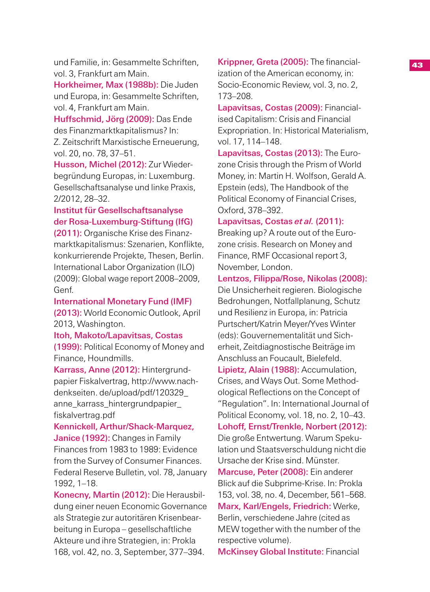und Familie, in: Gesammelte Schriften, Krippner, Greta (2005): The financialvol. 3, Frankfurt am Main.

Horkheimer, Max (1988b): Die Juden und Europa, in: Gesammelte Schriften, vol. 4, Frankfurt am Main.

Huffschmid, Jörg (2009): Das Ende des Finanzmarktkapitalismus? In: Z. Zeitschrift Marxistische Erneuerung, vol. 20, no. 78, 37–51.

Husson, Michel (2012): Zur Wiederbegründung Europas, in: Luxemburg. Gesellschaftsanalyse und linke Praxis, 2/2012, 28–32.

Institut für Gesellschaftsanalyse der Rosa-Luxemburg-Stiftung (IfG)

(2011): Organische Krise des Finanzmarktkapitalismus: Szenarien, Konflikte, konkurrierende Projekte, Thesen, Berlin. International Labor Organization (ILO) (2009): Global wage report 2008–2009, Genf.

International Monetary Fund (IMF) (2013): World Economic Outlook, April 2013, Washington.

Itoh, Makoto/Lapavitsas, Costas (1999): Political Economy of Money and Finance, Houndmills.

Karrass, Anne (2012): Hintergrundpapier Fiskalvertrag, http://www.nachdenkseiten. de/upload/pdf/120329\_ anne\_karrass\_hintergrundpapier\_ fiskalvertrag.pdf

Kennickell, Arthur/Shack-Marquez, Janice (1992): Changes in Family Finances from 1983 to 1989: Evidence from the Survey of Consumer Finances. Federal Reserve Bulletin, vol. 78, January 1992, 1–18.

Konecny, Martin (2012): Die Herausbildung einer neuen Economic Governance als Strategie zur autoritären Krisenbearbeitung in Europa – gesellschaftliche Akteure und ihre Strategien, in: Prokla 168, vol. 42, no. 3, September, 377–394.

Krippner, Greta (2005): The financialization of the American economy, in: Socio-Economic Review, vol. 3, no. 2, 173–208.

Lapavitsas, Costas (2009): Financialised Capitalism: Crisis and Financial Expropriation. In: Historical Materialism, vol. 17, 114–148.

Lapavitsas, Costas (2013): The Eurozone Crisis through the Prism of World Money, in: Martin H. Wolfson, Gerald A. Epstein (eds), The Handbook of the Political Economy of Financial Crises, Oxford, 378–392.

Lapavitsas, Costas *et al.* (2011):

Breaking up? A route out of the Eurozone crisis. Research on Money and Finance, RMF Occasional report 3, November, London.

Lentzos, Filippa/Rose, Nikolas (2008):

Die Unsicherheit regieren. Biologische Bedrohungen, Notfallplanung, Schutz und Resilienz in Europa, in: Patricia Purtschert/Katrin Meyer/Yves Winter (eds): Gouvernementalität und Sicherheit, Zeitdiagnostische Beiträge im Anschluss an Foucault, Bielefeld. Lipietz, Alain (1988): Accumulation, Crises, and Ways Out. Some Methodological Reflections on the Concept of "Regulation". In: International Journal of Political Economy, vol. 18, no. 2, 10–43. Lohoff, Ernst/Trenkle, Norbert (2012): Die große Entwertung. Warum Spekulation und Staatsverschuldung nicht die Ursache der Krise sind. Münster. Marcuse, Peter (2008): Ein anderer Blick auf die Subprime-Krise. In: Prokla 153, vol. 38, no. 4, December, 561–568. Marx, Karl/Engels, Friedrich: Werke, Berlin, verschiedene Jahre (cited as MEW together with the number of the respective volume).

**McKinsey Global Institute: Financial**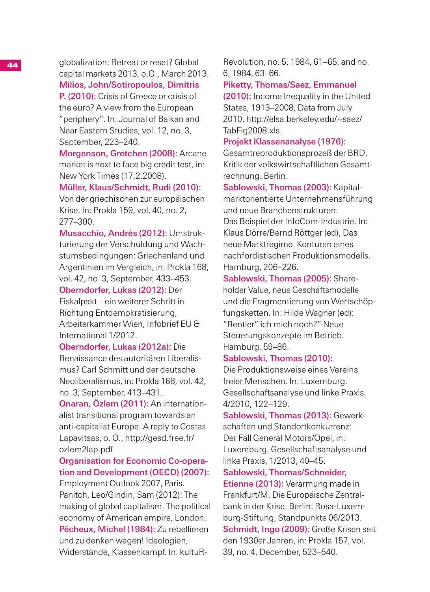<sup>44</sup> globalization: Retreat or reset? Global capital markets 2013, o.O., March 2013. Milios, John/Sotiropoulos, Dimitris P. (2010): Crisis of Greece or crisis of the euro? A view from the European "periphery". In: Journal of Balkan and

Near Eastern Studies, vol. 12, no. 3, September, 223–240.

Morgenson, Gretchen (2008): Arcane market is next to face big credit test, in: New York Times (17.2.2008).

Müller, Klaus/Schmidt, Rudi (2010):

Von der griechischen zur europäischen Krise. In: Prokla 159, vol. 40, no. 2, 277–300.

Musacchio, Andrés (2012): Umstrukturierung der Verschuldung und Wachstumsbedingungen: Griechenland und Argentinien im Vergleich, in: Prokla 168, vol. 42, no. 3, September, 433–453. Oberndorfer, Lukas (2012): Der

Fiskalpakt – ein weiterer Schritt in Richtung Entdemokratisierung, Arbeiterkammer Wien, Infobrief EU & International 1/2012.

Oberndorfer, Lukas (2012a): Die Renaissance des autoritären Liberalismus? Carl Schmitt und der deutsche Neoliberalismus, in: Prokla 168, vol. 42, no. 3, September, 413–431.

Onaran, Özlem (2011): An internationalist transitional program towards an anti-capitalist Europe. A reply to Costas Lapavitsas, o. O., http://gesd.free.fr/ ozlem2lap.pdf

# Organisation for Economic Co-operation and Development (OECD) (2007):

Employment Outlook 2007, Paris. Panitch, Leo/Gindin, Sam (2012): The making of global capitalism. The political economy of American empire, London. Pêcheux, Michel (1984): Zu rebellieren und zu denken wagen! Ideologien, Widerstände, Klassenkampf. In: kultuR-

Revolution, no. 5, 1984, 61–65, and no. 6, 1984, 63–66.

Piketty, Thomas/Saez, Emmanuel

(2010): Income Inequality in the United States, 1913–2008, Data from July 2010, http://elsa.berkeley.edu/~saez/ TabFig2008.xls.

#### Projekt Klassenanalyse (1976):

Gesamtreproduktionsprozeß der BRD. Kritik der volkswirtschaftlichen Gesamtrechnung. Berlin.

Sablowski, Thomas (2003): Kapitalmarktorientierte Unternehmensführung und neue Branchenstrukturen: Das Beispiel der InfoCom-Industrie. In: Klaus Dörre/Bernd Röttger (ed), Das neue Marktregime. Konturen eines nachfordistischen Produktionsmodells. Hamburg, 206–226.

Sablowski, Thomas (2005): Shareholder Value, neue Geschäftsmodelle und die Fragmentierung von Wertschöpfungsketten. In: Hilde Wagner (ed): "Rentier" ich mich noch?" Neue Steuerungskonzepte im Betrieb. Hamburg, 59–86.

#### Sablowski, Thomas (2010):

Die Produktionsweise eines Vereins freier Menschen. In: Luxemburg. Gesellschaftsanalyse und linke Praxis, 4/2010, 122–129.

Sablowski, Thomas (2013): Gewerkschaften und Standortkonkurrenz: Der Fall General Motors/Opel, in: Luxemburg. Gesellschaftsanalyse und linke Praxis, 1/2013, 40–45.

#### Sablowski, Thomas/Schneider,

Etienne (2013): Verarmung made in Frankfurt/M. Die Europäische Zentralbank in der Krise. Berlin: Rosa-Luxemburg-Stiftung, Standpunkte 06/2013. Schmidt, Ingo (2009): Große Krisen seit den 1930er Jahren, in: Prokla 157, vol. 39, no. 4, December, 523–540.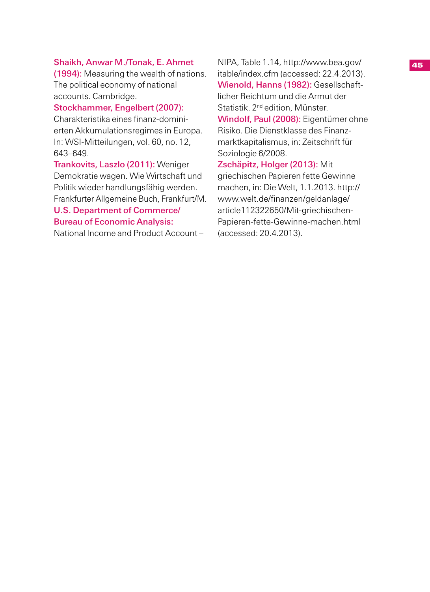(1994): Measuring the wealth of nations. The political economy of national accounts. Cambridge.

#### Stockhammer, Engelbert (2007):

Charakteristika eines finanz-dominierten Akkumulationsregimes in Europa. In: WSI-Mitteilungen, vol. 60, no. 12, 643–649.

Trankovits, Laszlo (2011): Weniger Demokratie wagen. Wie Wirtschaft und Politik wieder handlungsfähig werden. Frankfurter Allgemeine Buch, Frankfurt/M.

#### U.S. Department of Commerce/ Bureau of Economic Analysis:

National Income and Product Account –

**Shaikh, Anwar M./Tonak, E. Ahmet** MIPA, Table 1.14, http://www.bea.gov/**1990/1990** itable/index.cfm (accessed: 22.4.2013). Wienold, Hanns (1982): Gesellschaftlicher Reichtum und die Armut der Statistik. 2<sup>nd</sup> edition, Münster. Windolf, Paul (2008): Eigentümer ohne Risiko. Die Dienstklasse des Finanzmarktkapitalismus, in: Zeitschrift für Soziologie 6/2008.

> Zschäpitz, Holger (2013): Mit griechischen Papieren fette Gewinne machen, in: Die Welt, 1.1.2013. http:// www.welt.de/finanzen/geldanlage/ article112322650/Mit-griechischen-Papieren-fette-Gewinne-machen.html (accessed: 20.4.2013).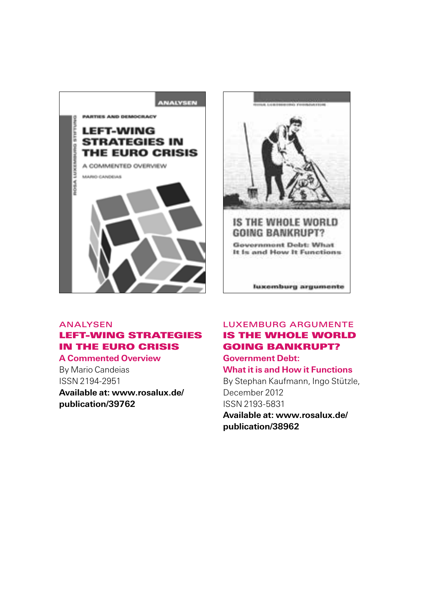



# **ANALYSEN** Left-wing Strategies in the Euro Crisis

#### **A Commented Overview**

By Mario Candeias ISSN 2194-2951 **Available at: www.rosalux.de/**

**publication/39762**

# Luxemburg argumente Is the whole World going bankrupt?

## **Government Debt: What it is and How it Functions**

By Stephan Kaufmann, Ingo Stützle, December 2012 ISSN 2193-5831

**Available at: www.rosalux.de/ publication/38962**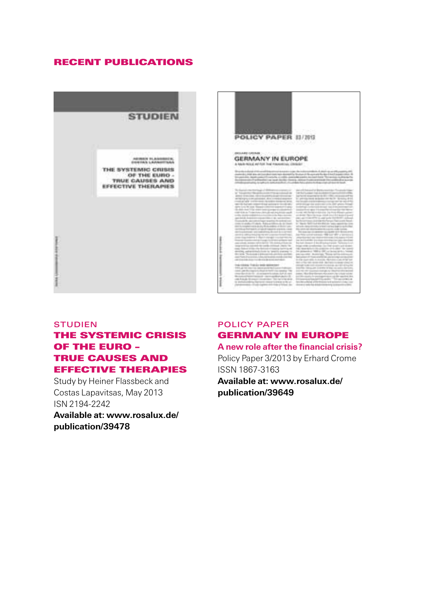## Recent Publications



# **STUDIEN** The systemic crisis of the euro – true causes and effective therapies

Study by Heiner Flassbeck and Costas Lapavitsas, May 2013 ISN 2194-2242

**Available at: www.rosalux.de/ publication/39478**

# POLICY PAPER Germany in Europe

# **A new role after the financial crisis?**

Policy Paper 3/2013 by Erhard Crome ISSN 1867-3163

**Available at: www.rosalux.de/ publication/39649**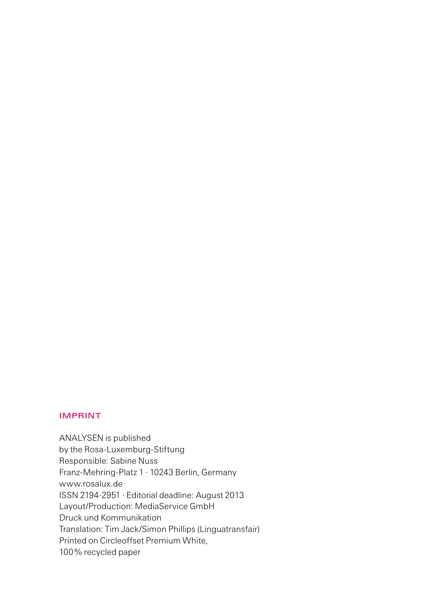#### IMPRINT

ANALYSEN is published by the Rosa-Luxemburg-Stiftung Responsible: Sabine Nuss Franz-Mehring-Platz 1 · 10243 Berlin, Germany www.rosalux.de ISSN 2194-2951 · Editorial deadline: August 2013 Layout/Production: MediaService GmbH Druck und Kommunikation Translation: Tim Jack/Simon Phillips (Linguatransfair) Printed on Circleoffset Premium White, 100% recycled paper